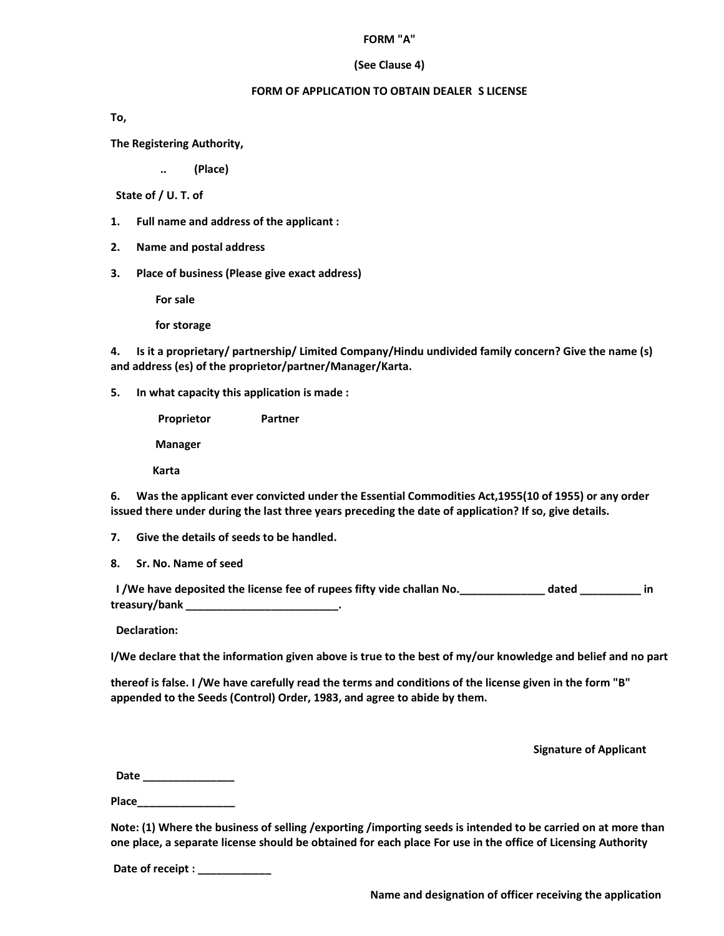#### **FORM "A"**

### **(See Clause 4)**

### **FORM OF APPLICATION TO OBTAIN DEALER S LICENSE**

**To,** 

**The Registering Authority,** 

**.. (Place)** 

 **State of / U. T. of** 

- **1. Full name and address of the applicant :**
- **2. Name and postal address**
- **3. Place of business (Please give exact address)**

 **For sale** 

 **for storage** 

**4. Is it a proprietary/ partnership/ Limited Company/Hindu undivided family concern? Give the name (s) and address (es) of the proprietor/partner/Manager/Karta.** 

**5. In what capacity this application is made :** 

**Proprietor Partner Manager** 

 **Karta** 

**6. Was the applicant ever convicted under the Essential Commodities Act,1955(10 of 1955) or any order issued there under during the last three years preceding the date of application? If so, give details.** 

**7. Give the details of seeds to be handled.** 

**8. Sr. No. Name of seed** 

**I** /We have deposited the license fee of rupees fifty vide challan No. **Example 2** dated **in in treasury/bank \_\_\_\_\_\_\_\_\_\_\_\_\_\_\_\_\_\_\_\_\_\_\_\_\_.** 

 **Declaration:** 

**I/We declare that the information given above is true to the best of my/our knowledge and belief and no part** 

**thereof is false. I /We have carefully read the terms and conditions of the license given in the form "B" appended to the Seeds (Control) Order, 1983, and agree to abide by them.** 

 **Signature of Applicant** 

 **Date \_\_\_\_\_\_\_\_\_\_\_\_\_\_\_** 

**Place\_\_\_\_\_\_\_\_\_\_\_\_\_\_\_\_** 

**Note: (1) Where the business of selling /exporting /importing seeds is intended to be carried on at more than one place, a separate license should be obtained for each place For use in the office of Licensing Authority** 

 **Date of receipt : \_\_\_\_\_\_\_\_\_\_\_\_**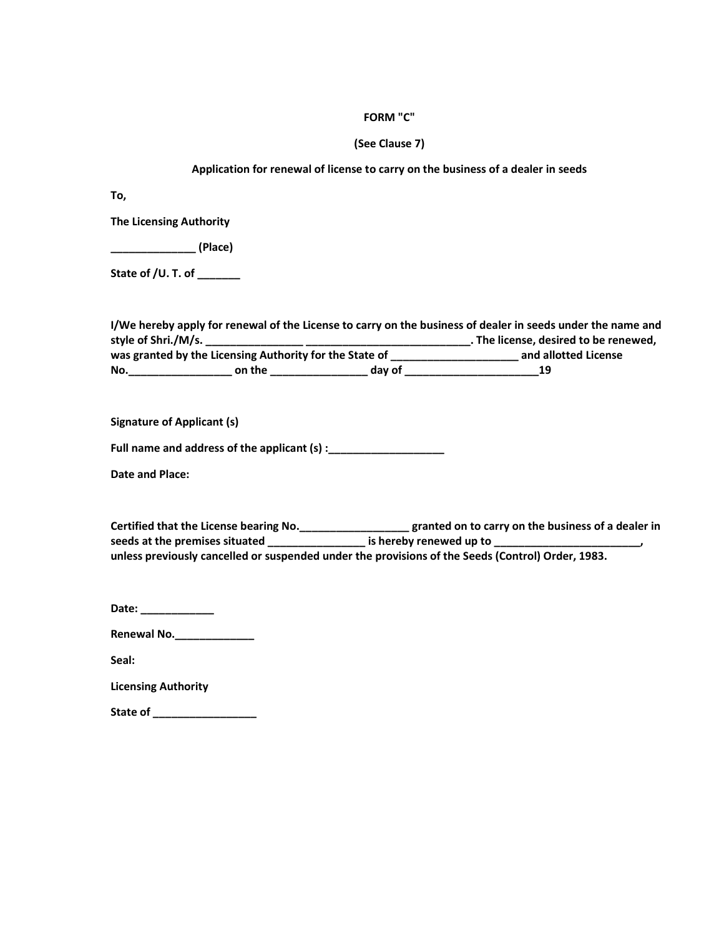# **FORM "C"**

# **(See Clause 7)**

## **Application for renewal of license to carry on the business of a dealer in seeds**

**To,** 

**The Licensing Authority** 

**\_\_\_\_\_\_\_\_\_\_\_\_\_\_ (Place)** 

**State of /U. T. of \_\_\_\_\_\_\_** 

|                     |                                                         |                      | I/We hereby apply for renewal of the License to carry on the business of dealer in seeds under the name and |
|---------------------|---------------------------------------------------------|----------------------|-------------------------------------------------------------------------------------------------------------|
| style of Shri./M/s. |                                                         |                      | . The license, desired to be renewed,                                                                       |
|                     | was granted by the Licensing Authority for the State of | and allotted License |                                                                                                             |
| No.                 | on the                                                  | day of               | 19                                                                                                          |

**Signature of Applicant (s)** 

**Full name and address of the applicant (s) :\_\_\_\_\_\_\_\_\_\_\_\_\_\_\_\_\_\_\_** 

**Date and Place:** 

| <b>Certified that the License bearing No.</b>                                                     | granted on to carry on the business of a dealer in |
|---------------------------------------------------------------------------------------------------|----------------------------------------------------|
| seeds at the premises situated                                                                    | is hereby renewed up to                            |
| unless previously cancelled or suspended under the provisions of the Seeds (Control) Order, 1983. |                                                    |

**Date: \_\_\_\_\_\_\_\_\_\_\_\_** 

**Renewal No.\_\_\_\_\_\_\_\_\_\_\_\_\_** 

**Seal:** 

**Licensing Authority** 

**State of \_\_\_\_\_\_\_\_\_\_\_\_\_\_\_\_\_**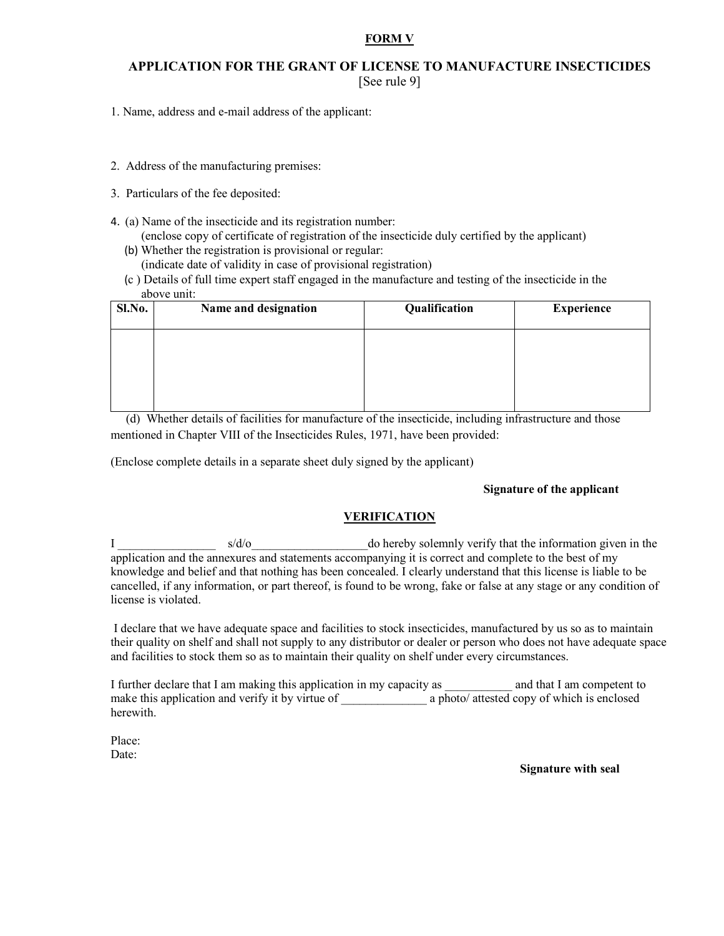### **FORM V**

# **APPLICATION FOR THE GRANT OF LICENSE TO MANUFACTURE INSECTICIDES**  [See rule 9]

- 1. Name, address and e-mail address of the applicant:
- 2. Address of the manufacturing premises:
- 3. Particulars of the fee deposited:
- 4. (a) Name of the insecticide and its registration number:
	- (enclose copy of certificate of registration of the insecticide duly certified by the applicant)
	- (b) Whether the registration is provisional or regular:
		- (indicate date of validity in case of provisional registration)
	- (c ) Details of full time expert staff engaged in the manufacture and testing of the insecticide in the above unit:

| Sl.No. | Name and designation | Qualification | <b>Experience</b> |
|--------|----------------------|---------------|-------------------|
|        |                      |               |                   |
|        |                      |               |                   |
|        |                      |               |                   |

 (d) Whether details of facilities for manufacture of the insecticide, including infrastructure and those mentioned in Chapter VIII of the Insecticides Rules, 1971, have been provided:

(Enclose complete details in a separate sheet duly signed by the applicant)

### **Signature of the applicant**

# **VERIFICATION**

I s/d/o s/d/o do hereby solemnly verify that the information given in the application and the annexures and statements accompanying it is correct and complete to the best of my knowledge and belief and that nothing has been concealed. I clearly understand that this license is liable to be cancelled, if any information, or part thereof, is found to be wrong, fake or false at any stage or any condition of license is violated.

 I declare that we have adequate space and facilities to stock insecticides, manufactured by us so as to maintain their quality on shelf and shall not supply to any distributor or dealer or person who does not have adequate space and facilities to stock them so as to maintain their quality on shelf under every circumstances.

I further declare that I am making this application in my capacity as and that I am competent to make this application and verify it by virtue of \_\_\_\_\_\_\_\_\_\_\_\_\_\_ a photo/attested copy of which is enclosed herewith.

Place: Date:

**Signature with seal**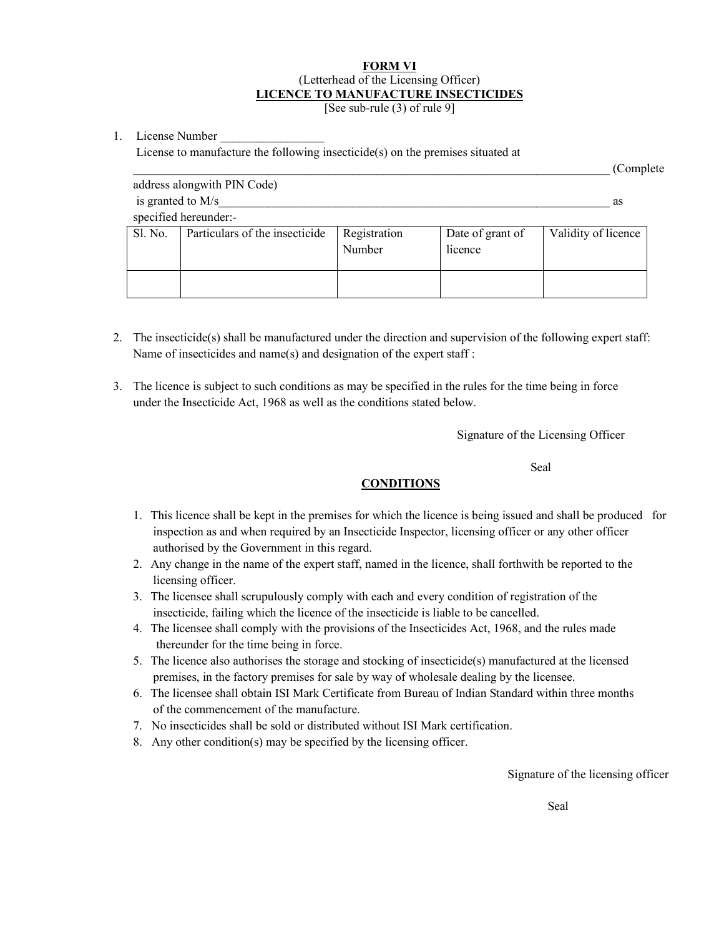# **FORM VI** (Letterhead of the Licensing Officer) **LICENCE TO MANUFACTURE INSECTICIDES**

[See sub-rule (3) of rule 9]

1. License Number

License to manufacture the following insecticide(s) on the premises situated at

|         |                                |                        |                             | (Complete)          |  |  |  |
|---------|--------------------------------|------------------------|-----------------------------|---------------------|--|--|--|
|         | address alongwith PIN Code)    |                        |                             |                     |  |  |  |
|         | is granted to M/s              |                        |                             |                     |  |  |  |
|         | specified hereunder:-          |                        |                             |                     |  |  |  |
| Sl. No. | Particulars of the insecticide | Registration<br>Number | Date of grant of<br>licence | Validity of licence |  |  |  |
|         |                                |                        |                             |                     |  |  |  |

- 2. The insecticide(s) shall be manufactured under the direction and supervision of the following expert staff: Name of insecticides and name(s) and designation of the expert staff :
- 3. The licence is subject to such conditions as may be specified in the rules for the time being in force under the Insecticide Act, 1968 as well as the conditions stated below.

Signature of the Licensing Officer

Seal and the seal of the seal of the seal of the seal of the seal of the seal of the seal of the seal of the seal of the seal of the seal of the seal of the seal of the seal of the seal of the seal of the seal of the seal

### **CONDITIONS**

- 1. This licence shall be kept in the premises for which the licence is being issued and shall be produced for inspection as and when required by an Insecticide Inspector, licensing officer or any other officer authorised by the Government in this regard.
- 2. Any change in the name of the expert staff, named in the licence, shall forthwith be reported to the licensing officer.
- 3. The licensee shall scrupulously comply with each and every condition of registration of the insecticide, failing which the licence of the insecticide is liable to be cancelled.
- 4. The licensee shall comply with the provisions of the Insecticides Act, 1968, and the rules made thereunder for the time being in force.
- 5. The licence also authorises the storage and stocking of insecticide(s) manufactured at the licensed premises, in the factory premises for sale by way of wholesale dealing by the licensee.
- 6. The licensee shall obtain ISI Mark Certificate from Bureau of Indian Standard within three months of the commencement of the manufacture.
- 7. No insecticides shall be sold or distributed without ISI Mark certification.
- 8. Any other condition(s) may be specified by the licensing officer.

Signature of the licensing officer

Seal Seal and the Seal of the Seal of the Seal of the Seal of the Seal of the Seal of the Seal of the Seal of the Seal of the Seal of the Seal of the Seal of the Seal of the Seal of the Seal of the Seal of the Seal of the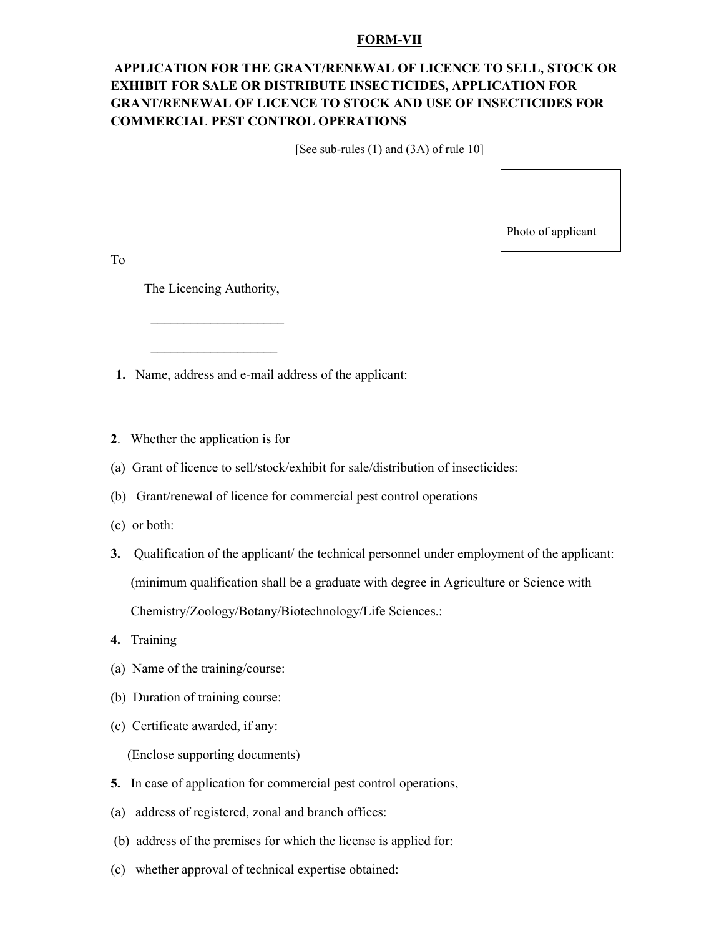### **FORM-VII**

# **APPLICATION FOR THE GRANT/RENEWAL OF LICENCE TO SELL, STOCK OR EXHIBIT FOR SALE OR DISTRIBUTE INSECTICIDES, APPLICATION FOR GRANT/RENEWAL OF LICENCE TO STOCK AND USE OF INSECTICIDES FOR COMMERCIAL PEST CONTROL OPERATIONS**

[See sub-rules (1) and (3A) of rule 10]

Photo of applicant

To

The Licencing Authority,

 $\mathcal{L}=\{L_1,L_2,\ldots,L_{n-1},\ldots,L_{n-1},\ldots,L_{n-1},\ldots,L_{n-1},\ldots,L_{n-1},\ldots,L_{n-1},\ldots,L_{n-1},\ldots,L_{n-1},\ldots,L_{n-1},\ldots,L_{n-1},\ldots,L_{n-1},\ldots,L_{n-1},\ldots,L_{n-1},\ldots,L_{n-1},\ldots,L_{n-1},\ldots,L_{n-1},\ldots,L_{n-1},\ldots,L_{n-1},\ldots,L_{n-1},\ldots,L_{n-1},\ldots,L_{n-1},\ldots,L_{n-1},\ldots,L_{n-1$ 

 $\overline{\phantom{a}}$  , and the set of the set of the set of the set of the set of the set of the set of the set of the set of the set of the set of the set of the set of the set of the set of the set of the set of the set of the s

**1.** Name, address and e-mail address of the applicant:

- **2**. Whether the application is for
- (a) Grant of licence to sell/stock/exhibit for sale/distribution of insecticides:
- (b) Grant/renewal of licence for commercial pest control operations
- (c) or both:
- **3.** Qualification of the applicant/ the technical personnel under employment of the applicant: (minimum qualification shall be a graduate with degree in Agriculture or Science with Chemistry/Zoology/Botany/Biotechnology/Life Sciences.:
- **4.** Training
- (a) Name of the training/course:
- (b) Duration of training course:
- (c) Certificate awarded, if any:

(Enclose supporting documents)

- **5.** In case of application for commercial pest control operations,
- (a) address of registered, zonal and branch offices:
- (b) address of the premises for which the license is applied for:
- (c) whether approval of technical expertise obtained: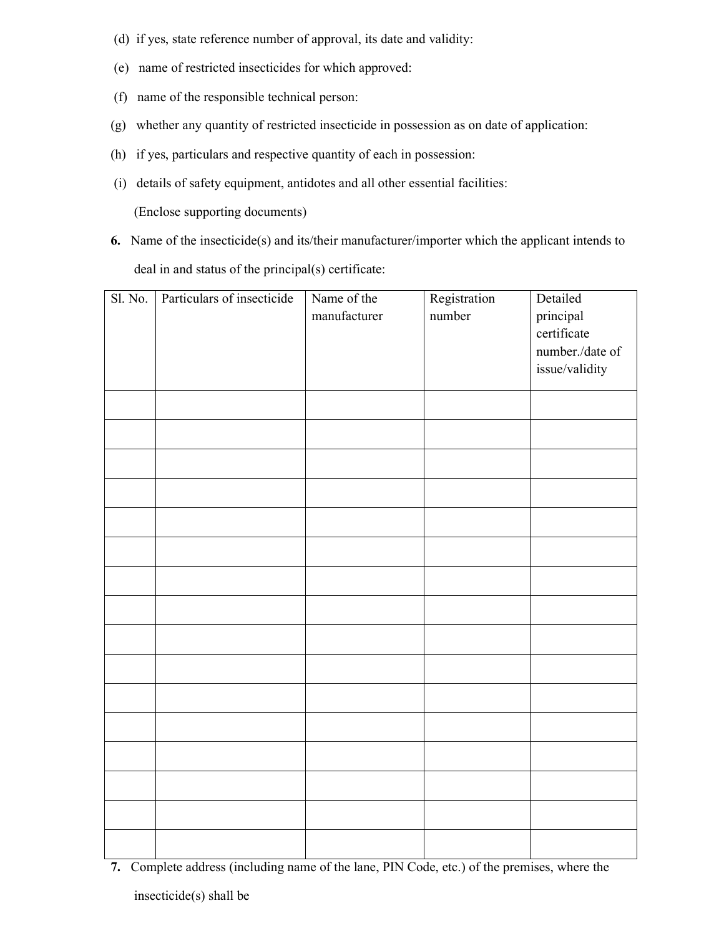- (d) if yes, state reference number of approval, its date and validity:
- (e) name of restricted insecticides for which approved:
- (f) name of the responsible technical person:
- (g) whether any quantity of restricted insecticide in possession as on date of application:
- (h) if yes, particulars and respective quantity of each in possession:
- (i) details of safety equipment, antidotes and all other essential facilities:

(Enclose supporting documents)

**6.** Name of the insecticide(s) and its/their manufacturer/importer which the applicant intends to deal in and status of the principal(s) certificate:

| Sl. No. | Particulars of insecticide | Name of the  | Registration | Detailed            |
|---------|----------------------------|--------------|--------------|---------------------|
|         |                            | manufacturer | number       | principal           |
|         |                            |              |              | certificate         |
|         |                            |              |              | number./date of     |
|         |                            |              |              | $\,$ issue/validity |
|         |                            |              |              |                     |
|         |                            |              |              |                     |
|         |                            |              |              |                     |
|         |                            |              |              |                     |
|         |                            |              |              |                     |
|         |                            |              |              |                     |
|         |                            |              |              |                     |
|         |                            |              |              |                     |
|         |                            |              |              |                     |
|         |                            |              |              |                     |
|         |                            |              |              |                     |
|         |                            |              |              |                     |
|         |                            |              |              |                     |
|         |                            |              |              |                     |
|         |                            |              |              |                     |
|         |                            |              |              |                     |
|         |                            |              |              |                     |

**7.** Complete address (including name of the lane, PIN Code, etc.) of the premises, where the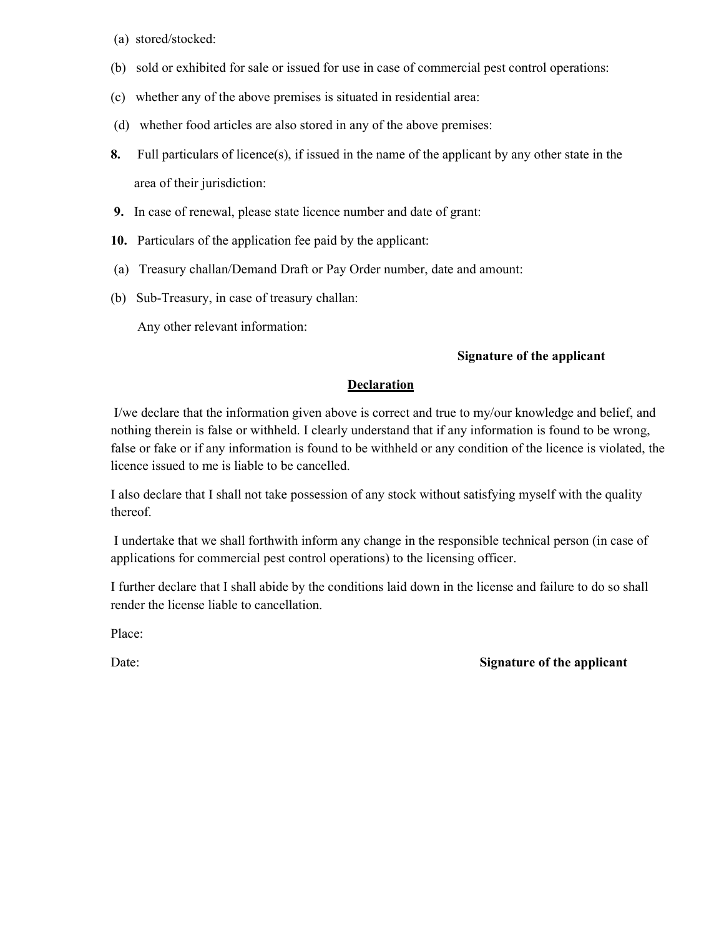- (a) stored/stocked:
- (b) sold or exhibited for sale or issued for use in case of commercial pest control operations:
- (c) whether any of the above premises is situated in residential area:
- (d) whether food articles are also stored in any of the above premises:
- **8.** Full particulars of licence(s), if issued in the name of the applicant by any other state in the area of their jurisdiction:
- **9.** In case of renewal, please state licence number and date of grant:
- **10.** Particulars of the application fee paid by the applicant:
- (a) Treasury challan/Demand Draft or Pay Order number, date and amount:
- (b) Sub-Treasury, in case of treasury challan:

Any other relevant information:

# **Signature of the applicant**

# **Declaration**

 I/we declare that the information given above is correct and true to my/our knowledge and belief, and nothing therein is false or withheld. I clearly understand that if any information is found to be wrong, false or fake or if any information is found to be withheld or any condition of the licence is violated, the licence issued to me is liable to be cancelled.

I also declare that I shall not take possession of any stock without satisfying myself with the quality thereof.

 I undertake that we shall forthwith inform any change in the responsible technical person (in case of applications for commercial pest control operations) to the licensing officer.

I further declare that I shall abide by the conditions laid down in the license and failure to do so shall render the license liable to cancellation.

Place:

# Date: **Signature of the applicant**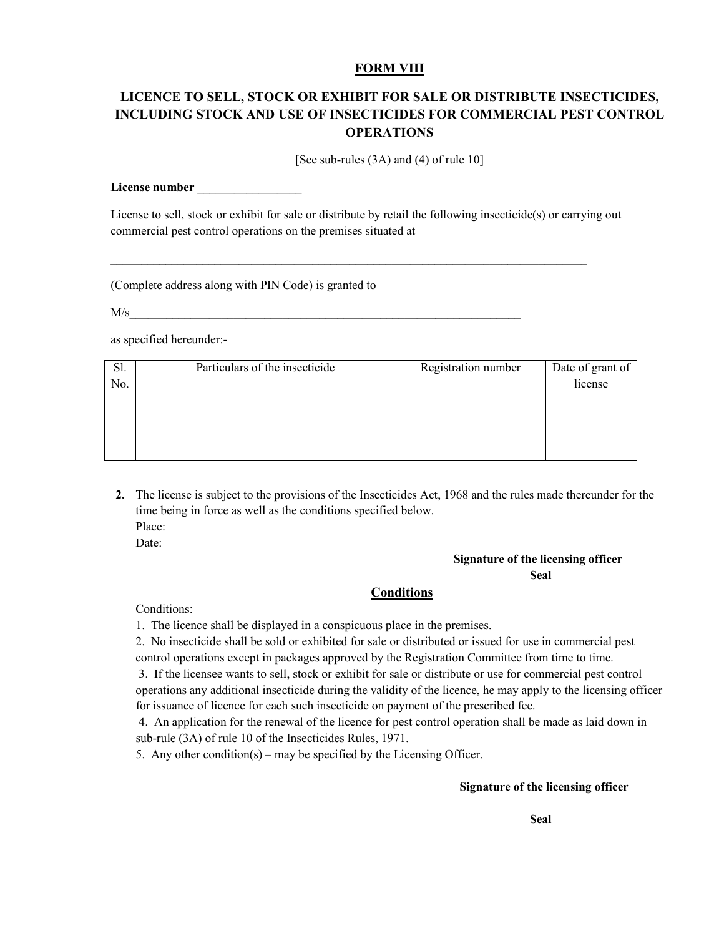# **FORM VIII**

# **LICENCE TO SELL, STOCK OR EXHIBIT FOR SALE OR DISTRIBUTE INSECTICIDES, INCLUDING STOCK AND USE OF INSECTICIDES FOR COMMERCIAL PEST CONTROL OPERATIONS**

[See sub-rules (3A) and (4) of rule 10]

#### License number

License to sell, stock or exhibit for sale or distribute by retail the following insecticide(s) or carrying out commercial pest control operations on the premises situated at

\_\_\_\_\_\_\_\_\_\_\_\_\_\_\_\_\_\_\_\_\_\_\_\_\_\_\_\_\_\_\_\_\_\_\_\_\_\_\_\_\_\_\_\_\_\_\_\_\_\_\_\_\_\_\_\_\_\_\_\_\_\_\_\_\_\_\_\_\_\_\_\_\_\_\_\_\_\_

(Complete address along with PIN Code) is granted to

 $M/s$ 

as specified hereunder:-

| Sl.<br>No. | Particulars of the insecticide | Registration number | Date of grant of<br>license |
|------------|--------------------------------|---------------------|-----------------------------|
|            |                                |                     |                             |
|            |                                |                     |                             |

**2.** The license is subject to the provisions of the Insecticides Act, 1968 and the rules made thereunder for the time being in force as well as the conditions specified below. Place: Date:

# **Signature of the licensing officer Seal**

### **Conditions**

Conditions:

1. The licence shall be displayed in a conspicuous place in the premises.

2. No insecticide shall be sold or exhibited for sale or distributed or issued for use in commercial pest control operations except in packages approved by the Registration Committee from time to time.

 3. If the licensee wants to sell, stock or exhibit for sale or distribute or use for commercial pest control operations any additional insecticide during the validity of the licence, he may apply to the licensing officer for issuance of licence for each such insecticide on payment of the prescribed fee.

 4. An application for the renewal of the licence for pest control operation shall be made as laid down in sub-rule (3A) of rule 10 of the Insecticides Rules, 1971.

5. Any other condition(s) – may be specified by the Licensing Officer.

### **Signature of the licensing officer**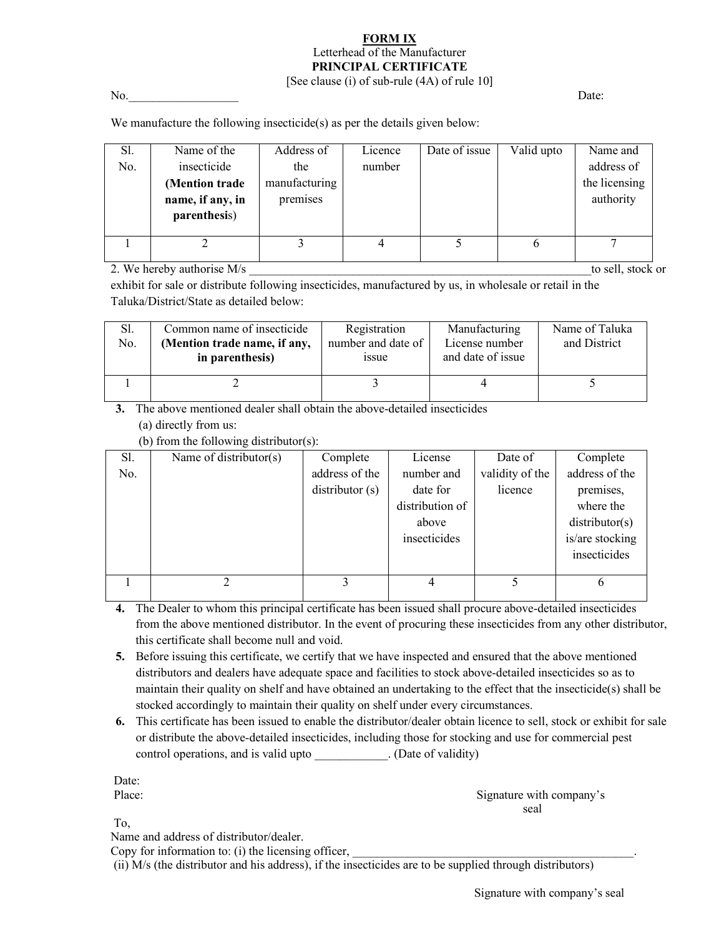### **FORM IX** Letterhead of the Manufacturer **PRINCIPAL CERTIFICATE**  [See clause (i) of sub-rule (4A) of rule 10]

No. 2002 Date:

We manufacture the following insecticide(s) as per the details given below:

| Sl. | Name of the      | Address of    | Licence | Date of issue | Valid upto | Name and      |
|-----|------------------|---------------|---------|---------------|------------|---------------|
| No. | insecticide      | the           | number  |               |            | address of    |
|     | (Mention trade   | manufacturing |         |               |            | the licensing |
|     | name, if any, in | premises      |         |               |            | authority     |
|     | parenthesis)     |               |         |               |            |               |
|     |                  |               |         |               |            |               |
|     |                  |               |         |               | O          |               |
|     |                  |               |         |               |            |               |

2. We hereby authorise M/s  $\blacksquare$  to sell, stock or

exhibit for sale or distribute following insecticides, manufactured by us, in wholesale or retail in the Taluka/District/State as detailed below:

| Sl.<br>No. | Common name of insecticide<br>(Mention trade name, if any,<br>in parenthesis) | Registration<br>number and date of<br>1ssue | Manufacturing<br>License number<br>and date of issue | Name of Taluka<br>and District |
|------------|-------------------------------------------------------------------------------|---------------------------------------------|------------------------------------------------------|--------------------------------|
|            |                                                                               |                                             |                                                      |                                |

**3.** The above mentioned dealer shall obtain the above-detailed insecticides (a) directly from us:

(b) from the following distributor(s):

| Sl. | Name of distributor(s) | Complete       | License         | Date of         | Complete        |
|-----|------------------------|----------------|-----------------|-----------------|-----------------|
| No. |                        | address of the | number and      | validity of the | address of the  |
|     |                        | distributor(s) | date for        | licence         | premises,       |
|     |                        |                | distribution of |                 | where the       |
|     |                        |                | above           |                 | distributor(s)  |
|     |                        |                | insecticides    |                 | is/are stocking |
|     |                        |                |                 |                 | insecticides    |
|     |                        |                |                 |                 |                 |
|     |                        |                |                 |                 |                 |
|     |                        |                |                 |                 |                 |

- **4.** The Dealer to whom this principal certificate has been issued shall procure above-detailed insecticides from the above mentioned distributor. In the event of procuring these insecticides from any other distributor, this certificate shall become null and void.
- **5.** Before issuing this certificate, we certify that we have inspected and ensured that the above mentioned distributors and dealers have adequate space and facilities to stock above-detailed insecticides so as to maintain their quality on shelf and have obtained an undertaking to the effect that the insecticide(s) shall be stocked accordingly to maintain their quality on shelf under every circumstances.
- **6.** This certificate has been issued to enable the distributor/dealer obtain licence to sell, stock or exhibit for sale or distribute the above-detailed insecticides, including those for stocking and use for commercial pest control operations, and is valid upto \_\_\_\_\_\_\_\_\_\_\_. (Date of validity)

Date:

 Place: Signature with company's seal and the seal of the seal and the seal and the seal of the seal and the seal of the seal

To,

Name and address of distributor/dealer.

Copy for information to:  $(i)$  the licensing officer,

(ii) M/s (the distributor and his address), if the insecticides are to be supplied through distributors)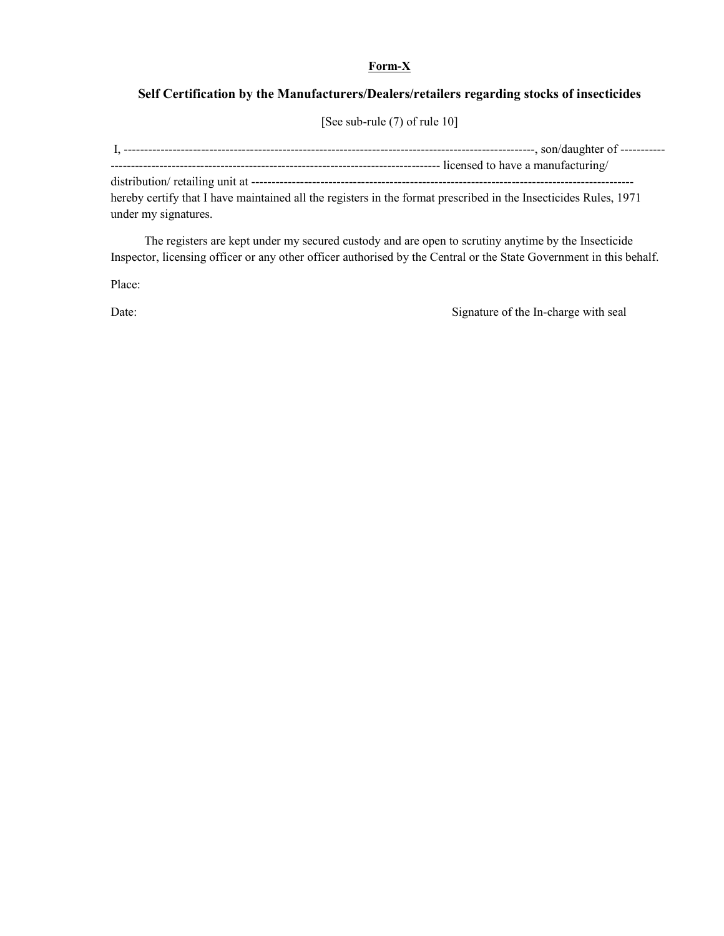# **Form-X**

# **Self Certification by the Manufacturers/Dealers/retailers regarding stocks of insecticides**

[See sub-rule (7) of rule 10]

 I, -----------------------------------------------------------------------------------------------------, son/daughter of ----------- --------------------------------------------------------------------------------- licensed to have a manufacturing/ distribution/ retailing unit at --------------------------------------------------------------------------------------------- hereby certify that I have maintained all the registers in the format prescribed in the Insecticides Rules, 1971 under my signatures.

 The registers are kept under my secured custody and are open to scrutiny anytime by the Insecticide Inspector, licensing officer or any other officer authorised by the Central or the State Government in this behalf.

Place:

Date: Signature of the In-charge with seal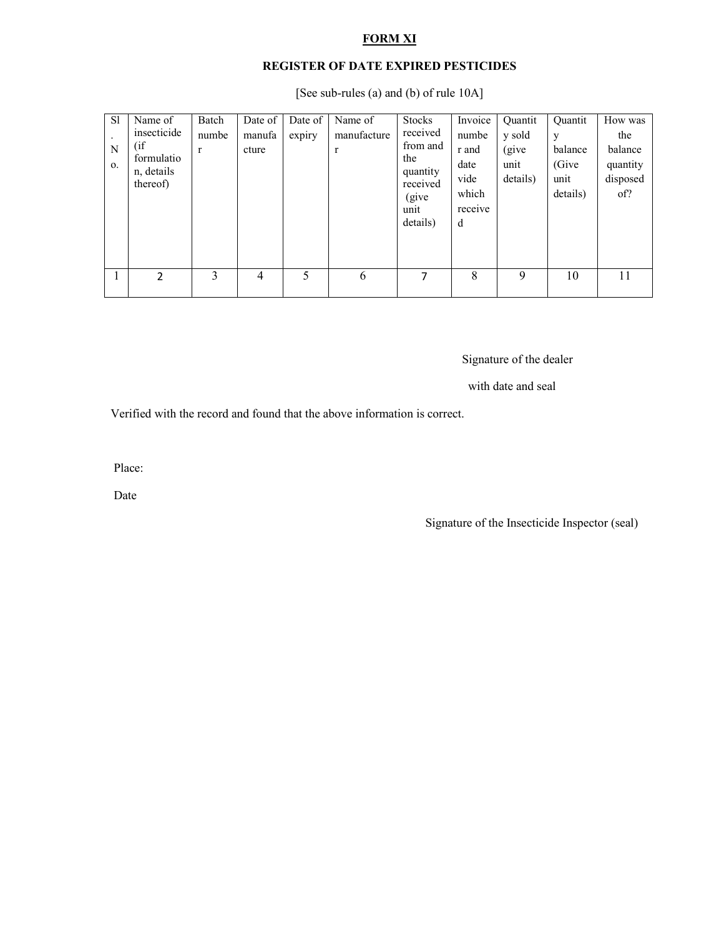# **FORM XI**

# **REGISTER OF DATE EXPIRED PESTICIDES**

[See sub-rules (a) and (b) of rule 10A]

| <sub>S1</sub><br>N<br>0. | Name of<br>insecticide<br>(i f)<br>formulatio<br>n, details<br>thereof) | Batch<br>numbe<br>$\mathbf{r}$ | Date of<br>manufa<br>cture | Date of<br>expiry | Name of<br>manufacture<br>$\mathbf{r}$ | <b>Stocks</b><br>received<br>from and<br>the<br>quantity<br>received<br>(give)<br>unit<br>details) | Invoice<br>numbe<br>r and<br>date<br>vide<br>which<br>receive<br>d | Quantit<br>y sold<br>(give<br>unit<br>details) | Quantit<br>y<br>balance<br>(Give)<br>unit<br>details) | How was<br>the<br>balance<br>quantity<br>disposed<br>of? |
|--------------------------|-------------------------------------------------------------------------|--------------------------------|----------------------------|-------------------|----------------------------------------|----------------------------------------------------------------------------------------------------|--------------------------------------------------------------------|------------------------------------------------|-------------------------------------------------------|----------------------------------------------------------|
|                          | $\mathcal{P}$                                                           | 3                              | 4                          | 5                 | 6                                      | 7                                                                                                  | 8                                                                  | 9                                              | 10                                                    | 11                                                       |

# Signature of the dealer

with date and seal

Verified with the record and found that the above information is correct.

Place:

Date

Signature of the Insecticide Inspector (seal)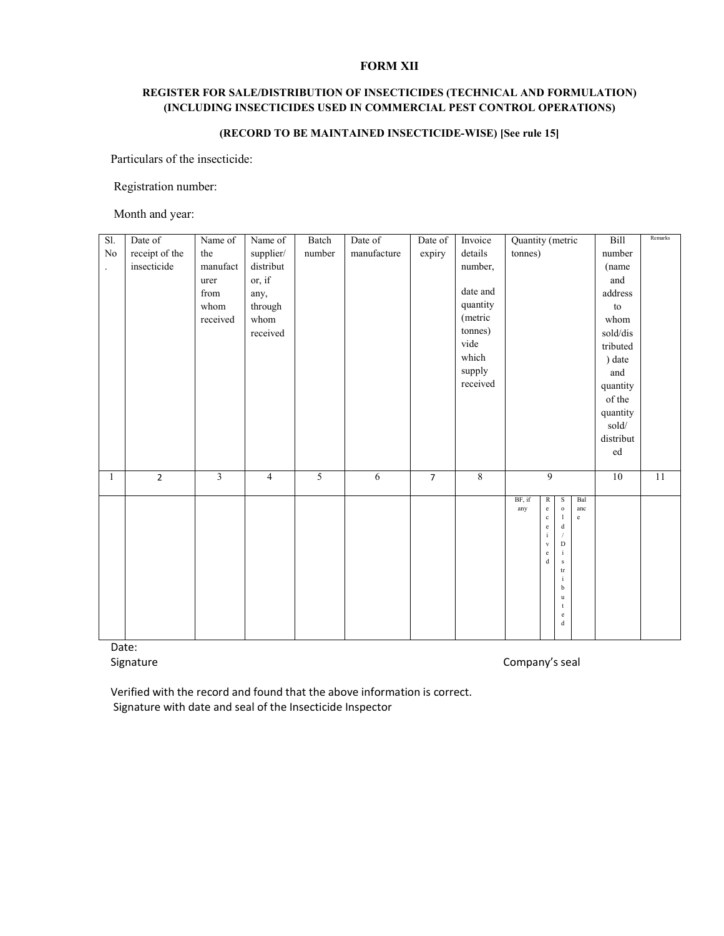### **FORM XII**

# **REGISTER FOR SALE/DISTRIBUTION OF INSECTICIDES (TECHNICAL AND FORMULATION) (INCLUDING INSECTICIDES USED IN COMMERCIAL PEST CONTROL OPERATIONS)**

### **(RECORD TO BE MAINTAINED INSECTICIDE-WISE) [See rule 15]**

Particulars of the insecticide:

Registration number:

Month and year:

| Sl.                  | Date of        | Name of                 | Name of        | Batch          | Date of     | Date of        | Invoice        | Quantity (metric          |                                   |                | Bill                             | Remarks         |
|----------------------|----------------|-------------------------|----------------|----------------|-------------|----------------|----------------|---------------------------|-----------------------------------|----------------|----------------------------------|-----------------|
| No                   | receipt of the | the                     | supplier/      | number         | manufacture | expiry         | details        | tonnes)                   |                                   |                | number                           |                 |
| $\ddot{\phantom{a}}$ | insecticide    | manufact                | distribut      |                |             |                | number,        |                           |                                   |                | (name                            |                 |
|                      |                | urer                    | or, if         |                |             |                |                |                           |                                   |                | and                              |                 |
|                      |                | from                    | any,           |                |             |                | date and       |                           |                                   |                | address                          |                 |
|                      |                | whom                    | through        |                |             |                | quantity       |                           |                                   |                | to                               |                 |
|                      |                | received                | whom           |                |             |                | (metric        |                           |                                   |                | whom                             |                 |
|                      |                |                         | received       |                |             |                | tonnes)        |                           |                                   |                | sold/dis                         |                 |
|                      |                |                         |                |                |             |                | vide           |                           |                                   |                | tributed                         |                 |
|                      |                |                         |                |                |             |                | which          |                           |                                   |                | ) date                           |                 |
|                      |                |                         |                |                |             |                | supply         |                           |                                   |                | and                              |                 |
|                      |                |                         |                |                |             |                | received       |                           |                                   |                | quantity                         |                 |
|                      |                |                         |                |                |             |                |                |                           |                                   |                | of the                           |                 |
|                      |                |                         |                |                |             |                |                |                           |                                   |                | quantity                         |                 |
|                      |                |                         |                |                |             |                |                |                           |                                   |                | $\operatorname{\textbf{solid}}/$ |                 |
|                      |                |                         |                |                |             |                |                |                           |                                   |                | distribut                        |                 |
|                      |                |                         |                |                |             |                |                |                           |                                   |                | ed                               |                 |
|                      |                |                         |                |                |             |                |                |                           |                                   |                |                                  |                 |
| $\mathbf{1}$         | $\overline{2}$ | $\overline{\mathbf{3}}$ | $\overline{4}$ | $\overline{5}$ | 6           | $\overline{7}$ | $\overline{8}$ |                           | $\overline{9}$                    |                | $\overline{10}$                  | $\overline{11}$ |
|                      |                |                         |                |                |             |                |                | BF, if<br>R               | S                                 | Bal            |                                  |                 |
|                      |                |                         |                |                |             |                |                | $\rm e$<br>any<br>$\rm c$ | $\rm o$<br>$\mathbf{1}$           | anc<br>$\rm e$ |                                  |                 |
|                      |                |                         |                |                |             |                |                | $\rm e$                   | $\mathbf d$                       |                |                                  |                 |
|                      |                |                         |                |                |             |                |                | $\rm i$<br>$_{\rm V}$     | $\overline{1}$<br>$\mathbf D$     |                |                                  |                 |
|                      |                |                         |                |                |             |                |                | $\rm e$                   | $\rm i$                           |                |                                  |                 |
|                      |                |                         |                |                |             |                |                | $\mathbf d$               | $\,$ s                            |                |                                  |                 |
|                      |                |                         |                |                |             |                |                |                           | $\mathop{\mathrm{tr}}$<br>$\rm i$ |                |                                  |                 |
|                      |                |                         |                |                |             |                |                |                           | $\rm b$                           |                |                                  |                 |
|                      |                |                         |                |                |             |                |                |                           | $\mathbf u$<br>$^\mathrm{t}$      |                |                                  |                 |
|                      |                |                         |                |                |             |                |                |                           | $\rm e$                           |                |                                  |                 |
|                      |                |                         |                |                |             |                |                |                           | $\rm d$                           |                |                                  |                 |

Date:

Signature Company's seal

Verified with the record and found that the above information is correct. Signature with date and seal of the Insecticide Inspector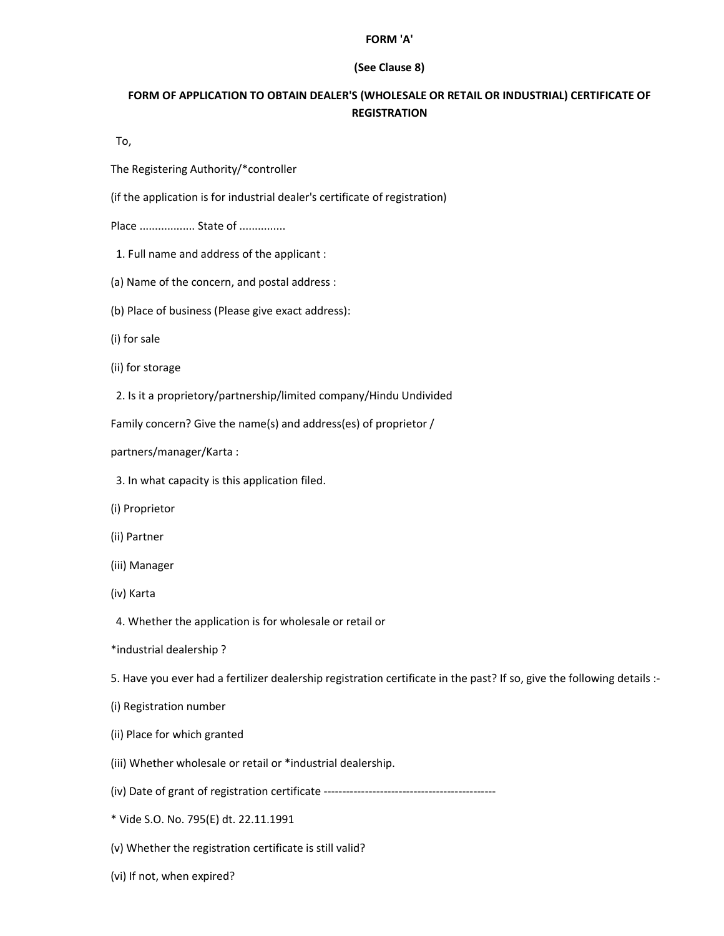#### **FORM 'A'**

### **(See Clause 8)**

# **FORM OF APPLICATION TO OBTAIN DEALER'S (WHOLESALE OR RETAIL OR INDUSTRIAL) CERTIFICATE OF REGISTRATION**

To,

The Registering Authority/\*controller

(if the application is for industrial dealer's certificate of registration)

Place .................. State of ...............

- 1. Full name and address of the applicant :
- (a) Name of the concern, and postal address :
- (b) Place of business (Please give exact address):
- (i) for sale
- (ii) for storage
- 2. Is it a proprietory/partnership/limited company/Hindu Undivided

Family concern? Give the name(s) and address(es) of proprietor /

partners/manager/Karta :

- 3. In what capacity is this application filed.
- (i) Proprietor
- (ii) Partner
- (iii) Manager
- (iv) Karta
- 4. Whether the application is for wholesale or retail or
- \*industrial dealership ?

5. Have you ever had a fertilizer dealership registration certificate in the past? If so, give the following details :-

- (i) Registration number
- (ii) Place for which granted
- (iii) Whether wholesale or retail or \*industrial dealership.
- (iv) Date of grant of registration certificate ----------------------------------------------
- \* Vide S.O. No. 795(E) dt. 22.11.1991
- (v) Whether the registration certificate is still valid?
- (vi) If not, when expired?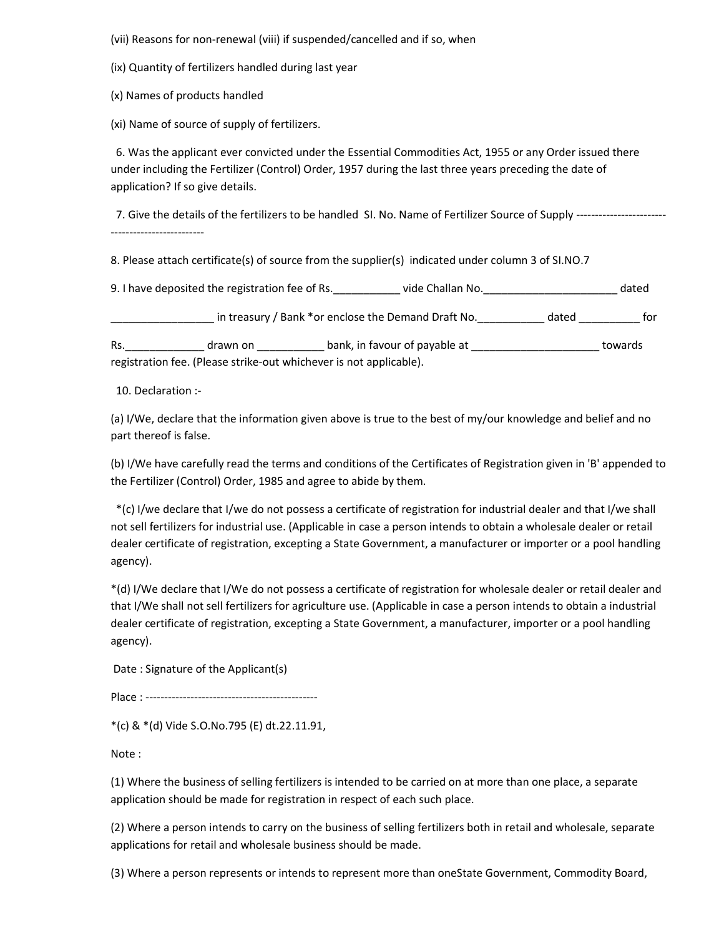(vii) Reasons for non-renewal (viii) if suspended/cancelled and if so, when

(ix) Quantity of fertilizers handled during last year

(x) Names of products handled

(xi) Name of source of supply of fertilizers.

 6. Was the applicant ever convicted under the Essential Commodities Act, 1955 or any Order issued there under including the Fertilizer (Control) Order, 1957 during the last three years preceding the date of application? If so give details.

7. Give the details of the fertilizers to be handled SI. No. Name of Fertilizer Source of Supply -----------------------------------------------

8. Please attach certificate(s) of source from the supplier(s) indicated under column 3 of SI.NO.7

9. I have deposited the registration fee of Rs.\_\_\_\_\_\_\_\_\_\_\_ vide Challan No.\_\_\_\_\_\_\_\_\_\_\_\_\_\_\_\_\_\_\_\_\_\_ dated

\_\_\_\_\_\_\_\_\_\_\_\_\_\_\_\_\_ in treasury / Bank \*or enclose the Demand Draft No.\_\_\_\_\_\_\_\_\_\_\_ dated \_\_\_\_\_\_\_\_\_\_ for

Rs. \_\_\_\_\_\_\_\_\_\_\_\_\_\_\_\_ drawn on \_\_\_\_\_\_\_\_\_\_\_\_\_\_\_\_ bank, in favour of payable at \_\_\_\_\_\_\_\_\_\_\_\_\_\_\_\_\_\_\_\_\_\_\_\_\_\_\_\_\_\_ towards registration fee. (Please strike-out whichever is not applicable).

10. Declaration :-

(a) I/We, declare that the information given above is true to the best of my/our knowledge and belief and no part thereof is false.

(b) I/We have carefully read the terms and conditions of the Certificates of Registration given in 'B' appended to the Fertilizer (Control) Order, 1985 and agree to abide by them.

 \*(c) I/we declare that I/we do not possess a certificate of registration for industrial dealer and that I/we shall not sell fertilizers for industrial use. (Applicable in case a person intends to obtain a wholesale dealer or retail dealer certificate of registration, excepting a State Government, a manufacturer or importer or a pool handling agency).

\*(d) I/We declare that I/We do not possess a certificate of registration for wholesale dealer or retail dealer and that I/We shall not sell fertilizers for agriculture use. (Applicable in case a person intends to obtain a industrial dealer certificate of registration, excepting a State Government, a manufacturer, importer or a pool handling agency).

Date : Signature of the Applicant(s)

Place : ----------------------------------------------

\*(c) & \*(d) Vide S.O.No.795 (E) dt.22.11.91,

Note :

(1) Where the business of selling fertilizers is intended to be carried on at more than one place, a separate application should be made for registration in respect of each such place.

(2) Where a person intends to carry on the business of selling fertilizers both in retail and wholesale, separate applications for retail and wholesale business should be made.

(3) Where a person represents or intends to represent more than oneState Government, Commodity Board,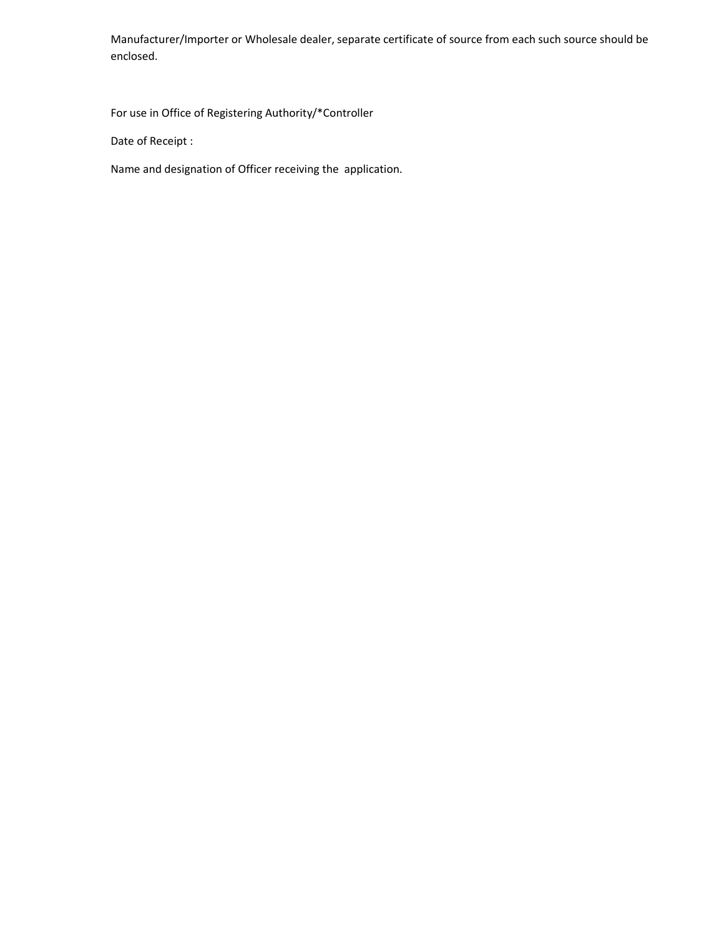Manufacturer/Importer or Wholesale dealer, separate certificate of source from each such source should be enclosed.

For use in Office of Registering Authority/\*Controller

Date of Receipt :

Name and designation of Officer receiving the application.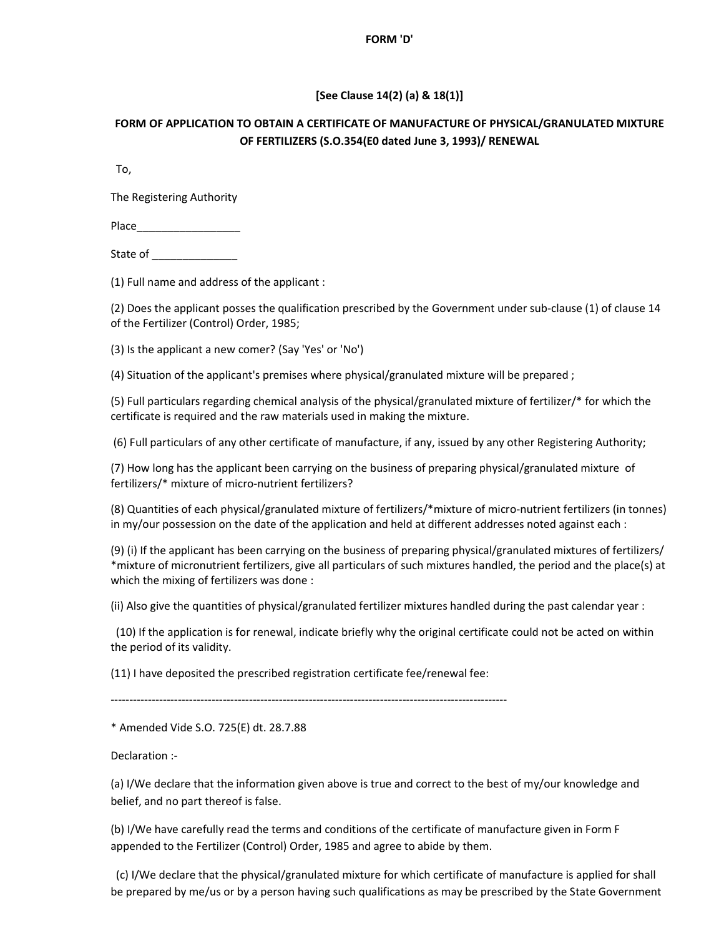#### **FORM 'D'**

# **[See Clause 14(2) (a) & 18(1)]**

# **FORM OF APPLICATION TO OBTAIN A CERTIFICATE OF MANUFACTURE OF PHYSICAL/GRANULATED MIXTURE OF FERTILIZERS (S.O.354(E0 dated June 3, 1993)/ RENEWAL**

To,

The Registering Authority

Place\_\_\_\_\_\_\_\_\_\_\_\_\_\_\_\_\_

State of \_\_\_\_\_\_\_\_\_\_\_\_\_\_

(1) Full name and address of the applicant :

(2) Does the applicant posses the qualification prescribed by the Government under sub-clause (1) of clause 14 of the Fertilizer (Control) Order, 1985;

(3) Is the applicant a new comer? (Say 'Yes' or 'No')

(4) Situation of the applicant's premises where physical/granulated mixture will be prepared ;

(5) Full particulars regarding chemical analysis of the physical/granulated mixture of fertilizer/\* for which the certificate is required and the raw materials used in making the mixture.

(6) Full particulars of any other certificate of manufacture, if any, issued by any other Registering Authority;

(7) How long has the applicant been carrying on the business of preparing physical/granulated mixture of fertilizers/\* mixture of micro-nutrient fertilizers?

(8) Quantities of each physical/granulated mixture of fertilizers/\*mixture of micro-nutrient fertilizers (in tonnes) in my/our possession on the date of the application and held at different addresses noted against each :

(9) (i) If the applicant has been carrying on the business of preparing physical/granulated mixtures of fertilizers/ \*mixture of micronutrient fertilizers, give all particulars of such mixtures handled, the period and the place(s) at which the mixing of fertilizers was done :

(ii) Also give the quantities of physical/granulated fertilizer mixtures handled during the past calendar year :

 (10) If the application is for renewal, indicate briefly why the original certificate could not be acted on within the period of its validity.

(11) I have deposited the prescribed registration certificate fee/renewal fee:

----------------------------------------------------------------------------------------------------------

\* Amended Vide S.O. 725(E) dt. 28.7.88

Declaration :-

(a) I/We declare that the information given above is true and correct to the best of my/our knowledge and belief, and no part thereof is false.

(b) I/We have carefully read the terms and conditions of the certificate of manufacture given in Form F appended to the Fertilizer (Control) Order, 1985 and agree to abide by them.

 (c) I/We declare that the physical/granulated mixture for which certificate of manufacture is applied for shall be prepared by me/us or by a person having such qualifications as may be prescribed by the State Government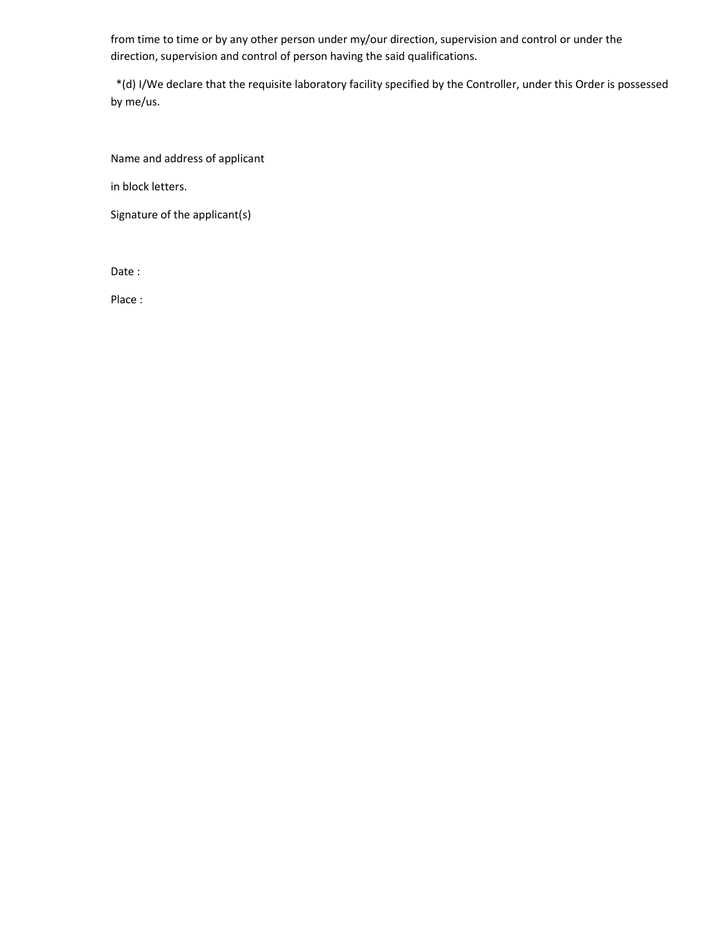from time to time or by any other person under my/our direction, supervision and control or under the direction, supervision and control of person having the said qualifications.

 \*(d) I/We declare that the requisite laboratory facility specified by the Controller, under this Order is possessed by me/us.

Name and address of applicant

in block letters.

Signature of the applicant(s)

Date :

Place :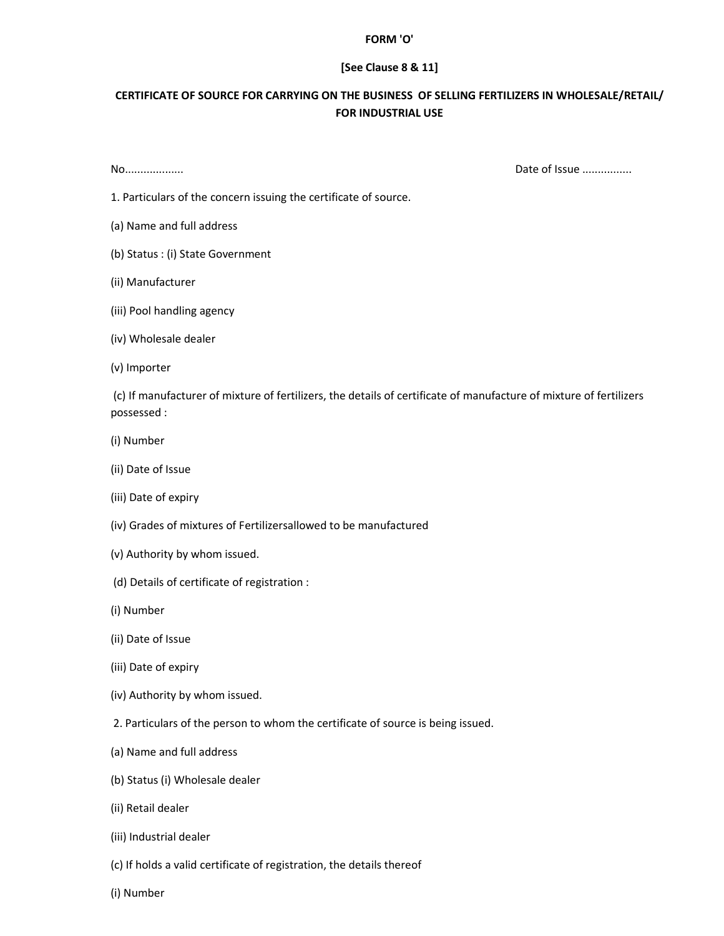#### **FORM 'O'**

#### **[See Clause 8 & 11]**

# **CERTIFICATE OF SOURCE FOR CARRYING ON THE BUSINESS OF SELLING FERTILIZERS IN WHOLESALE/RETAIL/ FOR INDUSTRIAL USE**

No................... Date of Issue ................

1. Particulars of the concern issuing the certificate of source.

- (a) Name and full address
- (b) Status : (i) State Government
- (ii) Manufacturer
- (iii) Pool handling agency
- (iv) Wholesale dealer
- (v) Importer

 (c) If manufacturer of mixture of fertilizers, the details of certificate of manufacture of mixture of fertilizers possessed :

- (i) Number
- (ii) Date of Issue
- (iii) Date of expiry
- (iv) Grades of mixtures of Fertilizersallowed to be manufactured
- (v) Authority by whom issued.
- (d) Details of certificate of registration :
- (i) Number
- (ii) Date of Issue
- (iii) Date of expiry
- (iv) Authority by whom issued.
- 2. Particulars of the person to whom the certificate of source is being issued.
- (a) Name and full address
- (b) Status (i) Wholesale dealer
- (ii) Retail dealer
- (iii) Industrial dealer
- (c) If holds a valid certificate of registration, the details thereof
- (i) Number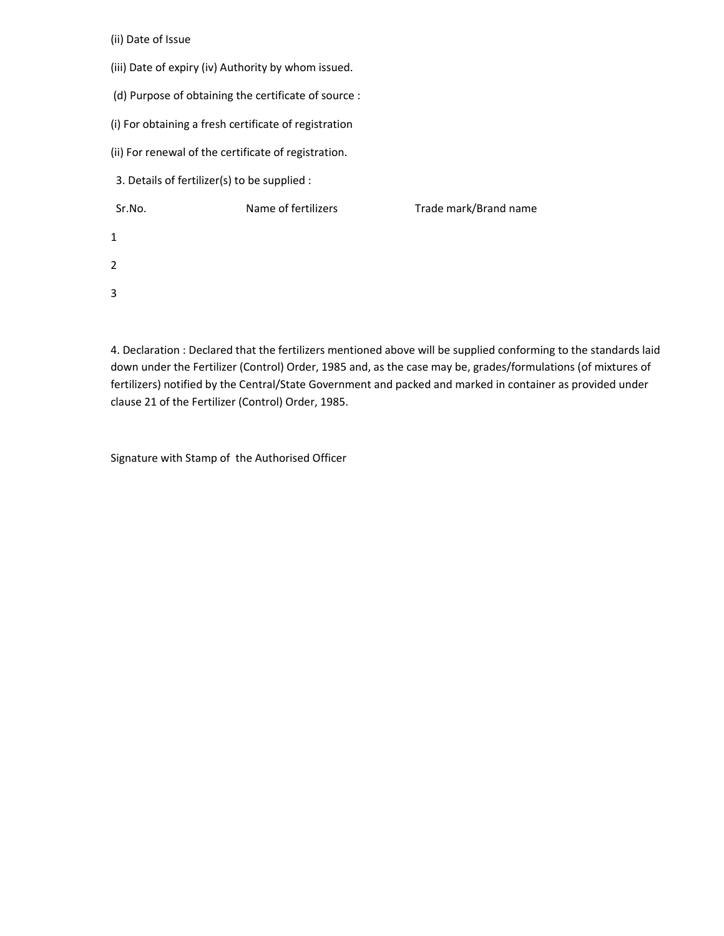(ii) Date of Issue

- (iii) Date of expiry (iv) Authority by whom issued.
- (d) Purpose of obtaining the certificate of source :
- (i) For obtaining a fresh certificate of registration
- (ii) For renewal of the certificate of registration.
- 3. Details of fertilizer(s) to be supplied :
- Sr.No. Name of fertilizers Trade mark/Brand name 1 2 3

4. Declaration : Declared that the fertilizers mentioned above will be supplied conforming to the standards laid down under the Fertilizer (Control) Order, 1985 and, as the case may be, grades/formulations (of mixtures of fertilizers) notified by the Central/State Government and packed and marked in container as provided under clause 21 of the Fertilizer (Control) Order, 1985.

Signature with Stamp of the Authorised Officer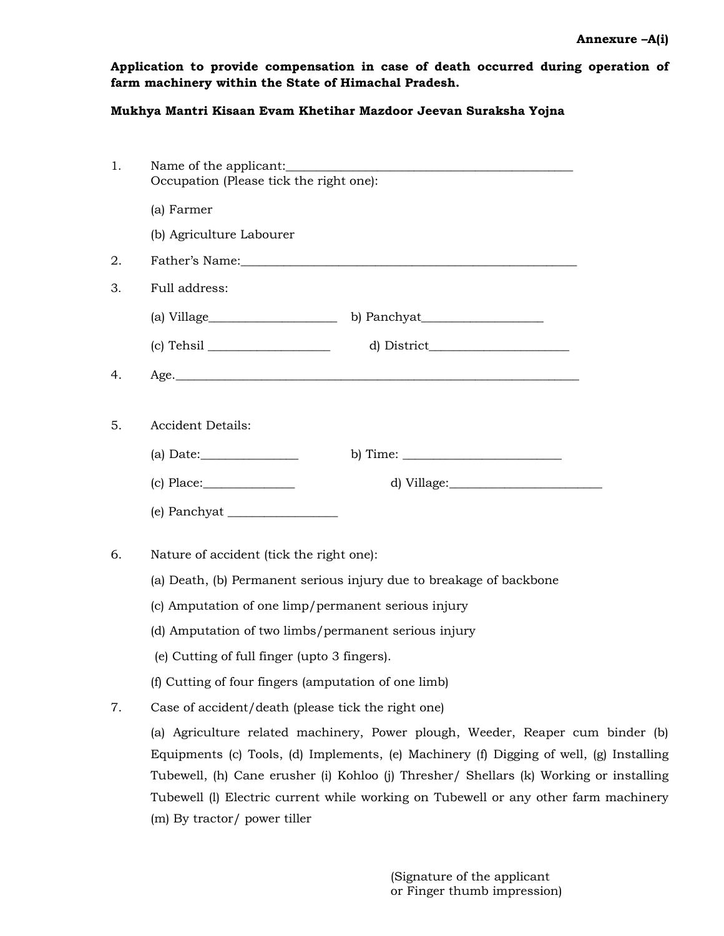**Application to provide compensation in case of death occurred during operation of farm machinery within the State of Himachal Pradesh.** 

# **Mukhya Mantri Kisaan Evam Khetihar Mazdoor Jeevan Suraksha Yojna**

| 1. | Occupation (Please tick the right one):                                                 |
|----|-----------------------------------------------------------------------------------------|
|    | (a) Farmer                                                                              |
|    | (b) Agriculture Labourer                                                                |
| 2. |                                                                                         |
| 3. | Full address:                                                                           |
|    |                                                                                         |
|    | d) District                                                                             |
| 4. |                                                                                         |
|    |                                                                                         |
| 5. | <b>Accident Details:</b>                                                                |
|    | b) Time: $\_\_$                                                                         |
|    | $(c)$ Place:                                                                            |
|    |                                                                                         |
| 6. | Nature of accident (tick the right one):                                                |
|    |                                                                                         |
|    | (a) Death, (b) Permanent serious injury due to breakage of backbone                     |
|    | (c) Amputation of one limp/permanent serious injury                                     |
|    | (d) Amputation of two limbs/permanent serious injury                                    |
|    | (e) Cutting of full finger (upto 3 fingers).                                            |
|    | (f) Cutting of four fingers (amputation of one limb)                                    |
| 7. | Case of accident/death (please tick the right one)                                      |
|    | (a) Agriculture related machinery, Power plough, Weeder, Reaper cum binder (b)          |
|    | Equipments (c) Tools, (d) Implements, (e) Machinery (f) Digging of well, (g) Installing |
|    | Tubewell, (h) Cane erusher (i) Kohloo (j) Thresher/ Shellars (k) Working or installing  |
|    | Tubewell (I) Electric current while working on Tubewell or any other farm machinery     |
|    | (m) By tractor/ power tiller                                                            |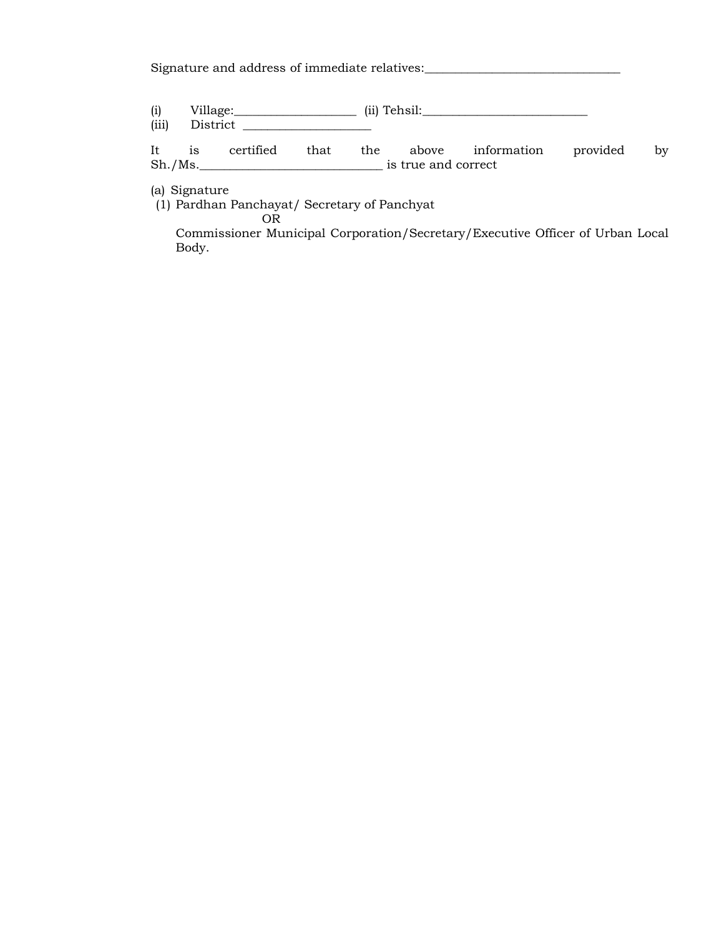Signature and address of immediate relatives:\_\_\_\_\_\_\_\_\_\_\_\_\_\_\_\_\_\_\_\_\_\_\_\_\_\_\_\_\_\_\_\_\_\_\_

(i) Village: \_\_\_\_\_\_\_\_\_\_\_\_\_\_\_\_\_\_\_\_\_\_ (ii) Tehsil: \_\_\_\_\_\_\_\_\_\_\_\_\_\_\_\_\_\_\_\_\_\_\_\_\_\_\_\_\_\_\_\_

(iii) District \_\_\_\_\_\_\_\_\_\_\_\_\_\_\_\_\_\_\_\_\_

It is certified that the above information provided by Sh./Ms.\_\_\_\_\_\_\_\_\_\_\_\_\_\_\_\_\_\_\_\_\_\_\_\_\_\_\_\_\_\_ is true and correct

(a) Signature

(1) Pardhan Panchayat/ Secretary of Panchyat

OR

Commissioner Municipal Corporation/Secretary/Executive Officer of Urban Local Body.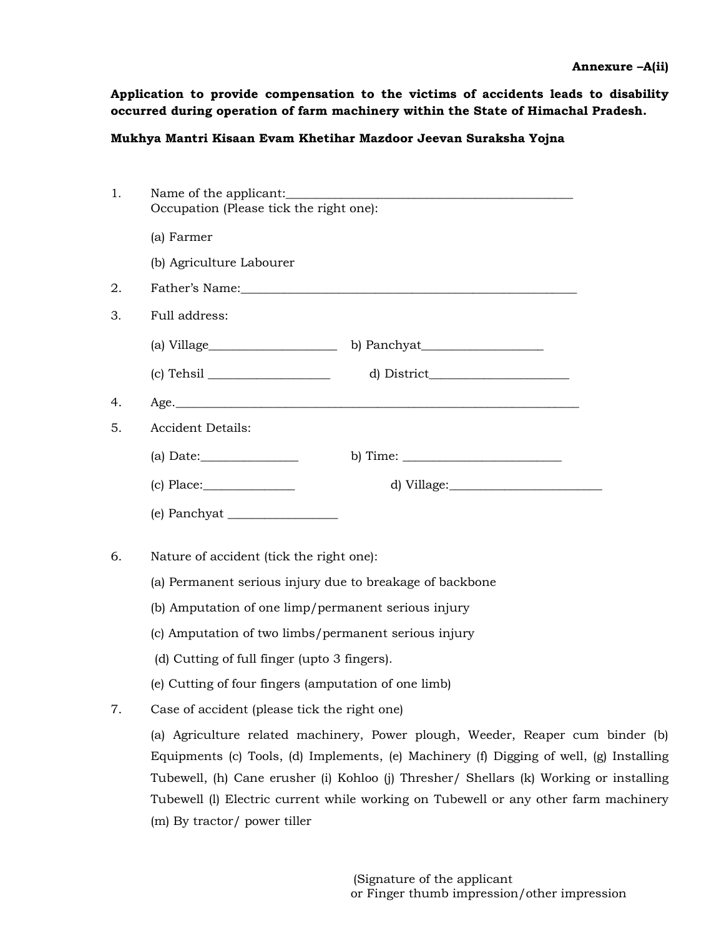**Application to provide compensation to the victims of accidents leads to disability occurred during operation of farm machinery within the State of Himachal Pradesh.** 

# **Mukhya Mantri Kisaan Evam Khetihar Mazdoor Jeevan Suraksha Yojna**

| 1. |                                                                                                                                                                                                                                                                                                                                                            |  |  |  |  |
|----|------------------------------------------------------------------------------------------------------------------------------------------------------------------------------------------------------------------------------------------------------------------------------------------------------------------------------------------------------------|--|--|--|--|
|    | Occupation (Please tick the right one):                                                                                                                                                                                                                                                                                                                    |  |  |  |  |
|    | (a) Farmer                                                                                                                                                                                                                                                                                                                                                 |  |  |  |  |
|    | (b) Agriculture Labourer                                                                                                                                                                                                                                                                                                                                   |  |  |  |  |
| 2. | Father's Name: 2008 and 2008 and 2008 and 2008 and 2008 and 2008 and 2008 and 2008 and 2008 and 2008 and 2008 and 2008 and 2008 and 2008 and 2008 and 2008 and 2008 and 2008 and 2008 and 2008 and 2008 and 2008 and 2008 and                                                                                                                              |  |  |  |  |
| 3. | Full address:                                                                                                                                                                                                                                                                                                                                              |  |  |  |  |
|    |                                                                                                                                                                                                                                                                                                                                                            |  |  |  |  |
|    |                                                                                                                                                                                                                                                                                                                                                            |  |  |  |  |
| 4. |                                                                                                                                                                                                                                                                                                                                                            |  |  |  |  |
| 5. | <b>Accident Details:</b>                                                                                                                                                                                                                                                                                                                                   |  |  |  |  |
|    | b) Time: $\frac{1}{2}$                                                                                                                                                                                                                                                                                                                                     |  |  |  |  |
|    |                                                                                                                                                                                                                                                                                                                                                            |  |  |  |  |
|    |                                                                                                                                                                                                                                                                                                                                                            |  |  |  |  |
| 6. | Nature of accident (tick the right one):                                                                                                                                                                                                                                                                                                                   |  |  |  |  |
|    | (a) Permanent serious injury due to breakage of backbone                                                                                                                                                                                                                                                                                                   |  |  |  |  |
|    | (b) Amputation of one limp/permanent serious injury                                                                                                                                                                                                                                                                                                        |  |  |  |  |
|    | (c) Amputation of two limbs/permanent serious injury                                                                                                                                                                                                                                                                                                       |  |  |  |  |
|    | (d) Cutting of full finger (upto 3 fingers).                                                                                                                                                                                                                                                                                                               |  |  |  |  |
|    | (e) Cutting of four fingers (amputation of one limb)                                                                                                                                                                                                                                                                                                       |  |  |  |  |
| 7. | Case of accident (please tick the right one)                                                                                                                                                                                                                                                                                                               |  |  |  |  |
|    | (a) Agriculture related machinery, Power plough, Weeder, Reaper cum binder (b)<br>Equipments (c) Tools, (d) Implements, (e) Machinery (f) Digging of well, (g) Installing<br>Tubewell, (h) Cane erusher (i) Kohloo (j) Thresher/ Shellars (k) Working or installing<br>Tubewell (l) Electric current while working on Tubewell or any other farm machinery |  |  |  |  |
|    | (m) By tractor/ power tiller                                                                                                                                                                                                                                                                                                                               |  |  |  |  |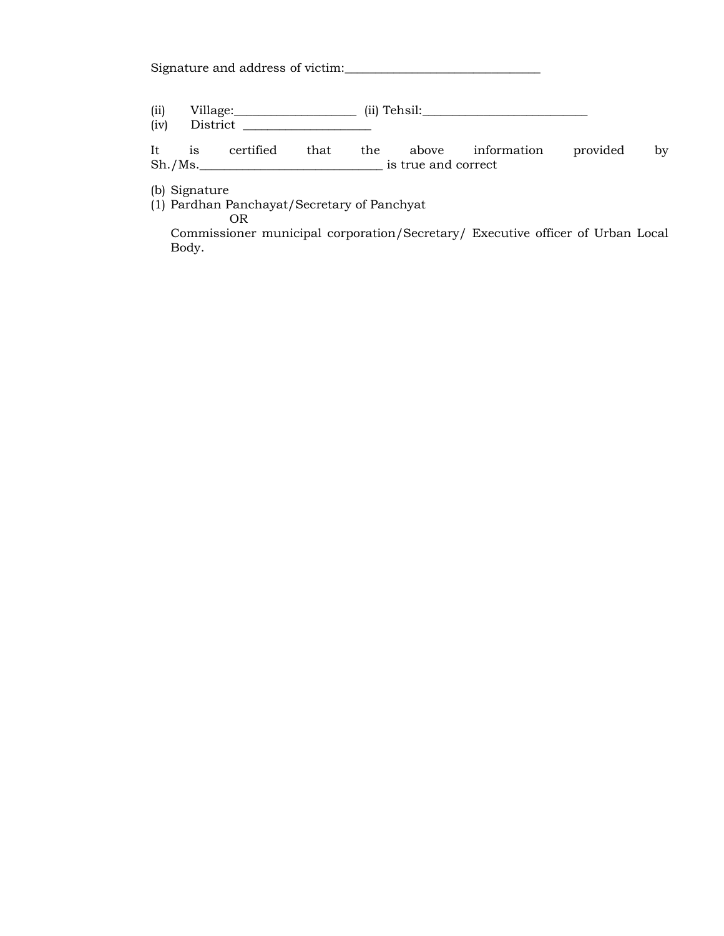Signature and address of victim:\_\_\_\_\_\_\_\_\_\_\_\_\_\_\_\_\_\_\_\_\_\_\_\_\_\_\_\_\_\_\_\_

| (ii) | <b>****</b><br>village: | (11) | <br>$\sqrt{ }$<br>`ehsil: |
|------|-------------------------|------|---------------------------|
|      |                         |      |                           |

(iv) District \_\_\_\_\_\_\_\_\_\_\_\_\_\_\_\_\_\_\_\_\_

It is certified that the above information provided by Sh./Ms.\_\_\_\_\_\_\_\_\_\_\_\_\_\_\_\_\_\_\_\_\_\_\_\_\_\_\_\_\_\_ is true and correct

(b) Signature

(1) Pardhan Panchayat/Secretary of Panchyat

OR

Commissioner municipal corporation/Secretary/ Executive officer of Urban Local Body.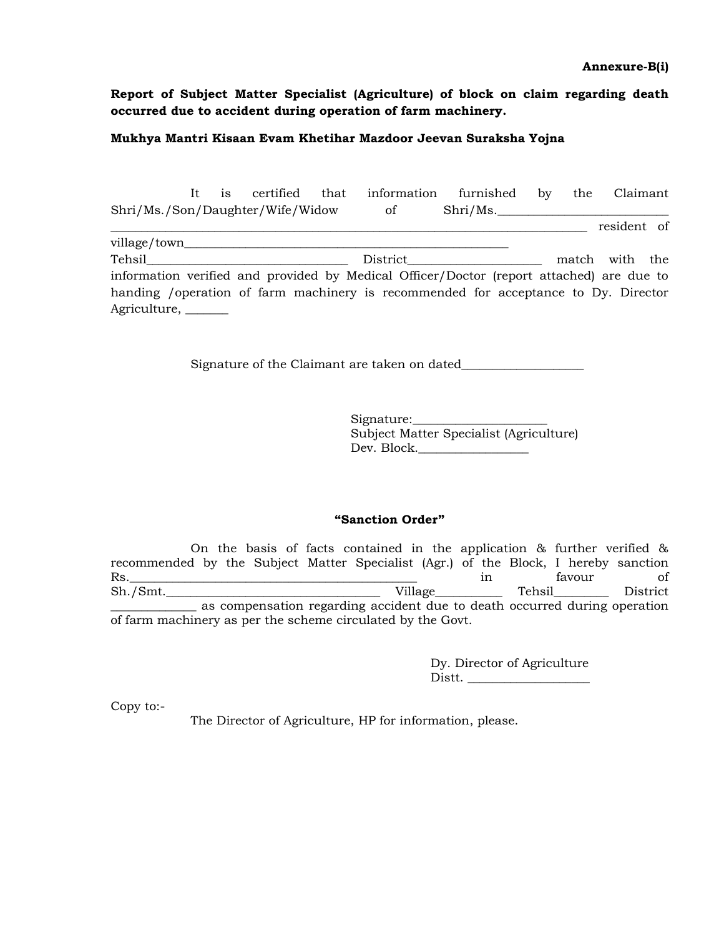**Annexure-B(i)** 

**Report of Subject Matter Specialist (Agriculture) of block on claim regarding death occurred due to accident during operation of farm machinery.** 

## **Mukhya Mantri Kisaan Evam Khetihar Mazdoor Jeevan Suraksha Yojna**

|                                                                                                                |  | It is certified that | information furnished by the Claimant                                                    |                          |  |                |  |
|----------------------------------------------------------------------------------------------------------------|--|----------------------|------------------------------------------------------------------------------------------|--------------------------|--|----------------|--|
| Shri/Ms./Son/Daughter/Wife/Widow of                                                                            |  |                      |                                                                                          | $\text{Shri}/\text{Ms}.$ |  |                |  |
|                                                                                                                |  |                      |                                                                                          |                          |  | resident of    |  |
|                                                                                                                |  |                      |                                                                                          |                          |  |                |  |
| Tehsil and the contract of the contract of the contract of the contract of the contract of the contract of the |  |                      | District                                                                                 |                          |  | match with the |  |
|                                                                                                                |  |                      | information verified and provided by Medical Officer/Doctor (report attached) are due to |                          |  |                |  |
|                                                                                                                |  |                      | handing / operation of farm machinery is recommended for acceptance to Dy. Director      |                          |  |                |  |
| Agriculture, _______                                                                                           |  |                      |                                                                                          |                          |  |                |  |

Signature of the Claimant are taken on dated\_\_\_\_\_\_\_\_\_\_\_\_\_\_\_\_\_\_\_\_

| Signature:                              |
|-----------------------------------------|
| Subject Matter Specialist (Agriculture) |
| Dev. Block.                             |

### **"Sanction Order"**

 On the basis of facts contained in the application & further verified & recommended by the Subject Matter Specialist (Agr.) of the Block, I hereby sanction Rs.\_\_\_\_\_\_\_\_\_\_\_\_\_\_\_\_\_\_\_\_\_\_\_\_\_\_\_\_\_\_\_\_\_\_\_\_\_\_\_\_\_\_\_\_\_\_\_ in favour of Sh./Smt.\_\_\_\_\_\_\_\_\_\_\_\_\_\_\_\_\_\_\_\_\_\_\_\_\_\_\_\_\_\_\_\_\_\_\_ Village\_\_\_\_\_\_\_\_\_\_\_ Tehsil\_\_\_\_\_\_\_\_\_ District as compensation regarding accident due to death occurred during operation of farm machinery as per the scheme circulated by the Govt.

> Dy. Director of Agriculture Distt.

Copy to:-

The Director of Agriculture, HP for information, please.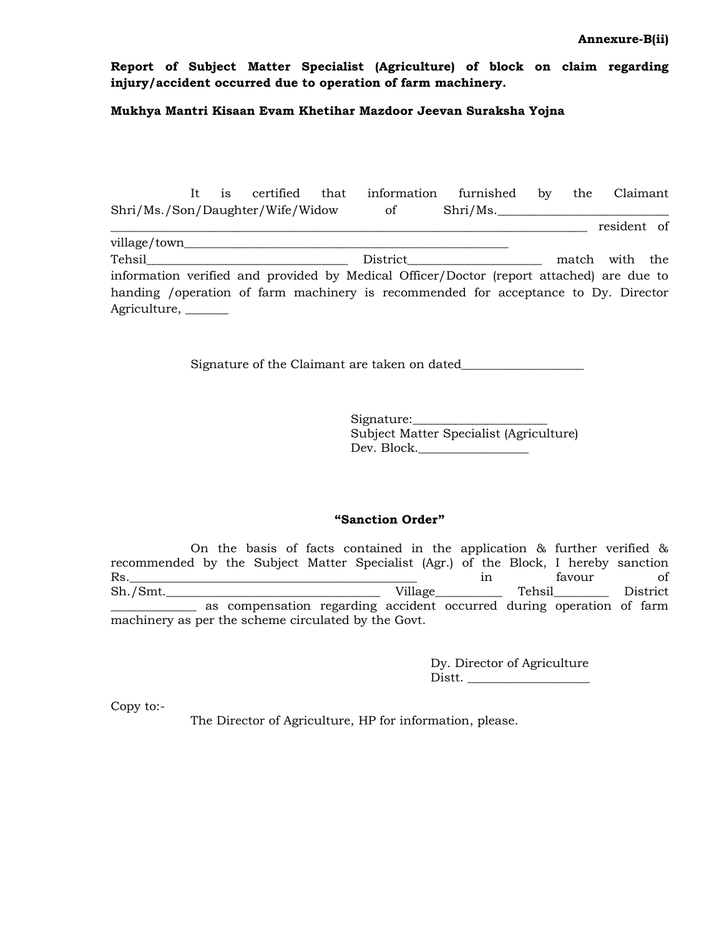### **Annexure-B(ii)**

**Report of Subject Matter Specialist (Agriculture) of block on claim regarding injury/accident occurred due to operation of farm machinery.** 

## **Mukhya Mantri Kisaan Evam Khetihar Mazdoor Jeevan Suraksha Yojna**

|                                  |  |  | It is certified that information furnished by                                            |          |  | the Claimant   |  |
|----------------------------------|--|--|------------------------------------------------------------------------------------------|----------|--|----------------|--|
| Shri/Ms./Son/Daughter/Wife/Widow |  |  | $\circ$ of                                                                               | Shri/Ms. |  |                |  |
|                                  |  |  |                                                                                          |          |  | resident of    |  |
|                                  |  |  |                                                                                          |          |  |                |  |
| <b>Tehsil</b>                    |  |  |                                                                                          |          |  | match with the |  |
|                                  |  |  | information verified and provided by Medical Officer/Doctor (report attached) are due to |          |  |                |  |
|                                  |  |  | handing / operation of farm machinery is recommended for acceptance to Dy. Director      |          |  |                |  |
| Agriculture, _______             |  |  |                                                                                          |          |  |                |  |

Signature of the Claimant are taken on dated\_\_\_\_\_\_\_\_\_\_\_\_\_\_\_\_\_\_\_\_

| Signature:                              |
|-----------------------------------------|
| Subject Matter Specialist (Agriculture) |
| Dev. Block.                             |

### **"Sanction Order"**

 On the basis of facts contained in the application & further verified & recommended by the Subject Matter Specialist (Agr.) of the Block, I hereby sanction Rs.\_\_\_\_\_\_\_\_\_\_\_\_\_\_\_\_\_\_\_\_\_\_\_\_\_\_\_\_\_\_\_\_\_\_\_\_\_\_\_\_\_\_\_\_\_\_\_ in favour of Sh./Smt.\_\_\_\_\_\_\_\_\_\_\_\_\_\_\_\_\_\_\_\_\_\_\_\_\_\_\_\_\_\_\_\_\_\_\_ Village\_\_\_\_\_\_\_\_\_\_\_ Tehsil\_\_\_\_\_\_\_\_\_ District \_\_\_\_\_\_\_\_\_\_\_\_\_\_ as compensation regarding accident occurred during operation of farm machinery as per the scheme circulated by the Govt.

> Dy. Director of Agriculture Distt.

Copy to:-

The Director of Agriculture, HP for information, please.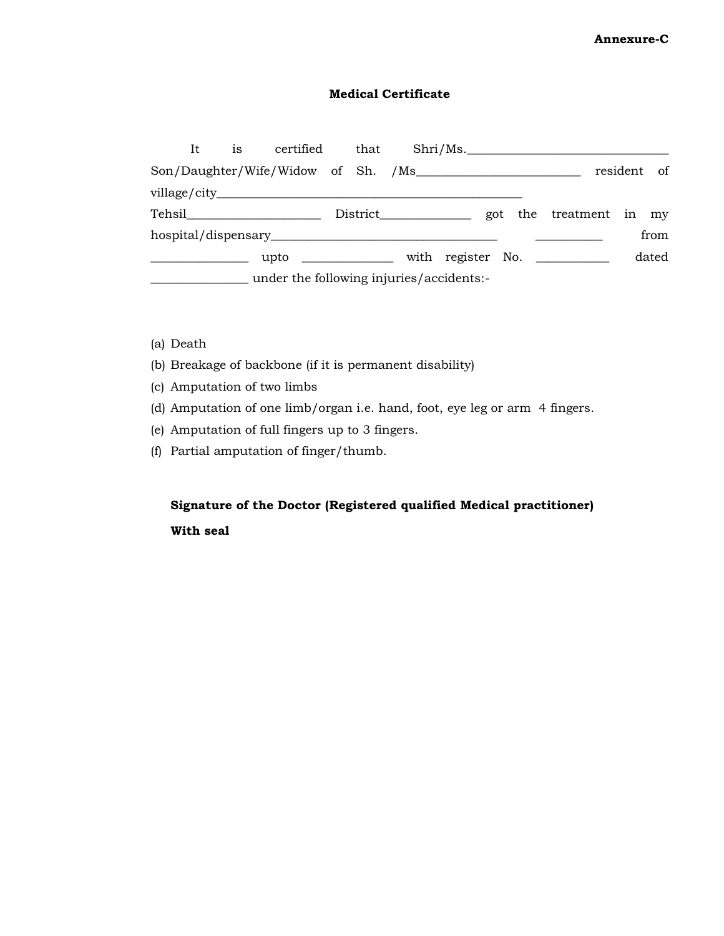# **Annexure-C**

# **Medical Certificate**

| It. | 1S | certified                                | that |  |  | $\rm Shri/Ms$ .                                     |             |       |
|-----|----|------------------------------------------|------|--|--|-----------------------------------------------------|-------------|-------|
|     |    | Son/Daughter/Wife/Widow of Sh. /Ms       |      |  |  |                                                     | resident of |       |
|     |    |                                          |      |  |  |                                                     |             |       |
|     |    |                                          |      |  |  | District _________________ got the treatment in my  |             |       |
|     |    |                                          |      |  |  |                                                     |             | from  |
|     |    |                                          |      |  |  | upto _______________ with register No. ____________ |             | dated |
|     |    | under the following injuries/accidents:- |      |  |  |                                                     |             |       |

- (a) Death
- (b) Breakage of backbone (if it is permanent disability)
- (c) Amputation of two limbs
- (d) Amputation of one limb/organ i.e. hand, foot, eye leg or arm 4 fingers.
- (e) Amputation of full fingers up to 3 fingers.
- (f) Partial amputation of finger/thumb.

# **Signature of the Doctor (Registered qualified Medical practitioner) With seal**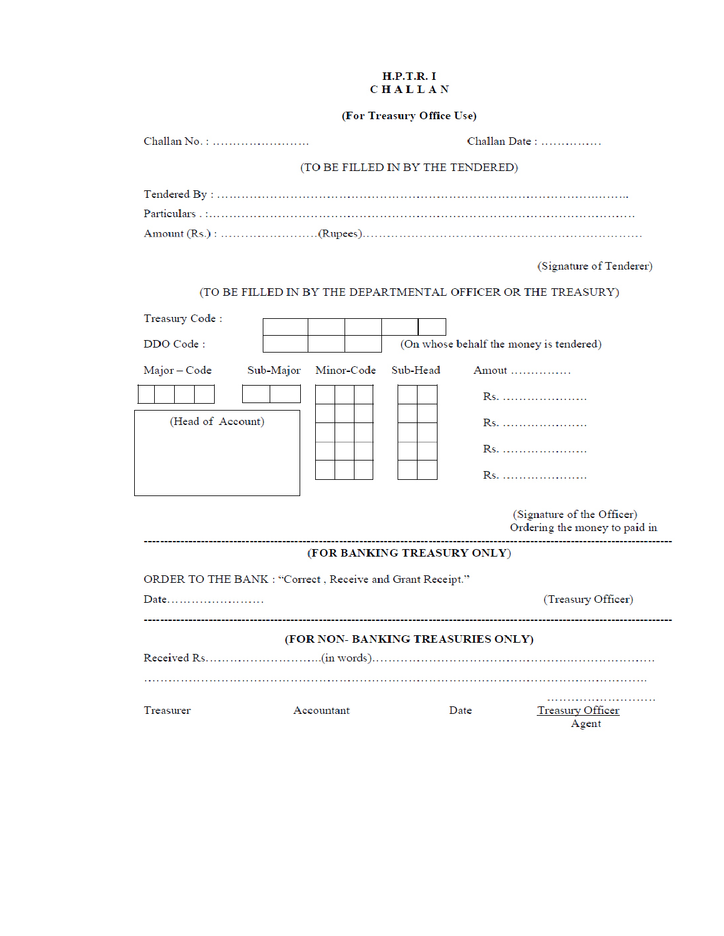### **H.P.T.R.I CHALLAN**

# (For Treasury Office Use)

| Challan No.:                                                                            |                         | $Challan Date: \ldots$            |                                                               |  |  |
|-----------------------------------------------------------------------------------------|-------------------------|-----------------------------------|---------------------------------------------------------------|--|--|
|                                                                                         |                         | (TO BE FILLED IN BY THE TENDERED) |                                                               |  |  |
|                                                                                         |                         |                                   |                                                               |  |  |
|                                                                                         |                         |                                   | (Signature of Tenderer)                                       |  |  |
|                                                                                         |                         |                                   | (TO BE FILLED IN BY THE DEPARTMENTAL OFFICER OR THE TREASURY) |  |  |
| Treasury Code:<br>DDO Code:                                                             |                         |                                   | (On whose behalf the money is tendered)                       |  |  |
| Major - Code<br>(Head of Account)                                                       | Minor-Code<br>Sub-Major | Sub-Head                          | Amout<br>Rs.<br>(Signature of the Officer)                    |  |  |
|                                                                                         |                         |                                   | Ordering the money to paid in                                 |  |  |
|                                                                                         |                         | (FOR BANKING TREASURY ONLY)       |                                                               |  |  |
| ORDER TO THE BANK : "Correct, Receive and Grant Receipt."<br>(Treasury Officer)<br>Date |                         |                                   |                                                               |  |  |
| (FOR NON- BANKING TREASURIES ONLY)                                                      |                         |                                   |                                                               |  |  |
| Treasurer                                                                               | Accountant              | Date                              | Treasury Officer<br>Agent                                     |  |  |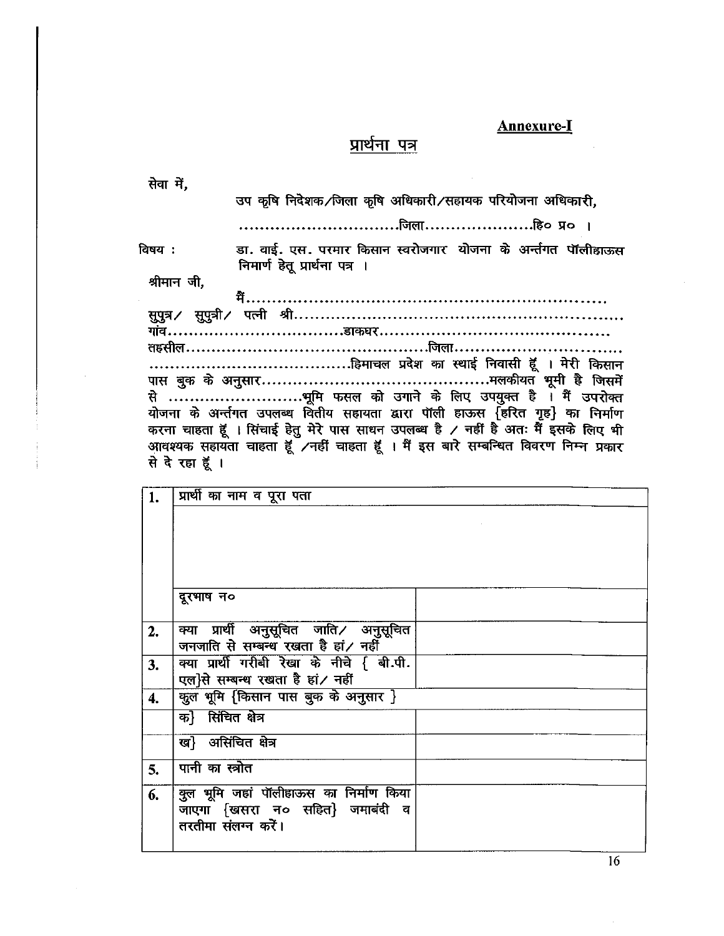# **Annexure-I**

 $\hat{\boldsymbol{\theta}}$ 

# प्रार्थना पत्र

| सेवा में, |                     |                                           | उप कृषि निर्देशक/जिला कृषि अधिकारी/सहायक परियोजना अधिकारी,                                                                                                               |
|-----------|---------------------|-------------------------------------------|--------------------------------------------------------------------------------------------------------------------------------------------------------------------------|
|           |                     |                                           |                                                                                                                                                                          |
|           |                     |                                           |                                                                                                                                                                          |
| विषय :    |                     | निमार्ण हेतू प्रार्थना पत्र ।             | डा. वाई. एस. परमार किसान स्वरोजगार  योजना के अर्न्तगत पॉलीहाऊस                                                                                                           |
|           | श्रीमान जी,         |                                           |                                                                                                                                                                          |
|           |                     |                                           |                                                                                                                                                                          |
|           |                     |                                           |                                                                                                                                                                          |
|           |                     |                                           |                                                                                                                                                                          |
|           |                     |                                           |                                                                                                                                                                          |
|           |                     |                                           |                                                                                                                                                                          |
|           |                     |                                           |                                                                                                                                                                          |
|           |                     |                                           | योजना के अर्न्तगत उपलब्ध वितीय सहायता द्वारा पॉली हाऊस {हरित गृह} का निर्माण                                                                                             |
|           |                     |                                           | करना चाहता हूँ । सिंचाई हेतु मेरे पास साधन उपलब्ध है / नहीं है अतः मैं इसके लिए भी<br>आवश्यक सहायता चाहता हूँ ⁄नहीं चाहता हूँ । मैं इस बारे सम्बन्धित विवरण निम्न प्रकार |
|           | से देखा हूँ।        |                                           |                                                                                                                                                                          |
|           |                     |                                           |                                                                                                                                                                          |
| 1.        |                     | प्रार्थी का नाम व पूरा पता                |                                                                                                                                                                          |
|           |                     |                                           |                                                                                                                                                                          |
|           |                     |                                           |                                                                                                                                                                          |
|           |                     |                                           |                                                                                                                                                                          |
|           |                     |                                           |                                                                                                                                                                          |
|           | दूरभाष न०           |                                           |                                                                                                                                                                          |
| 2.        |                     | क्या प्रार्थी अनुसूचित जाति⁄ अनुसूचित     |                                                                                                                                                                          |
|           |                     | जनजाति से सम्बन्ध रखता है हां/ नहीं       |                                                                                                                                                                          |
| 3.        |                     | क्या प्रार्थी गरीबी रेखा के नीचे { बी.पी. |                                                                                                                                                                          |
|           |                     | एल}से सम्बन्ध रखता है हां/ नहीं           |                                                                                                                                                                          |
| 4.        |                     | क़ूल भूमि {किसान पास बुक के अनुसार }      |                                                                                                                                                                          |
|           | क} सिंचित क्षेत्र   |                                           |                                                                                                                                                                          |
|           | ख} असिंचित क्षेत्र  |                                           |                                                                                                                                                                          |
| 5.        | पानी का स्त्रोत     |                                           |                                                                                                                                                                          |
|           |                     | कुल भूमि जहां पॉलीहाऊस का निर्माण किया    |                                                                                                                                                                          |
| 6.        |                     | जाएगा {खसरा न० सहित} जमाबंदी व            |                                                                                                                                                                          |
|           | तरतीमा संलग्न करें। |                                           |                                                                                                                                                                          |
|           |                     |                                           |                                                                                                                                                                          |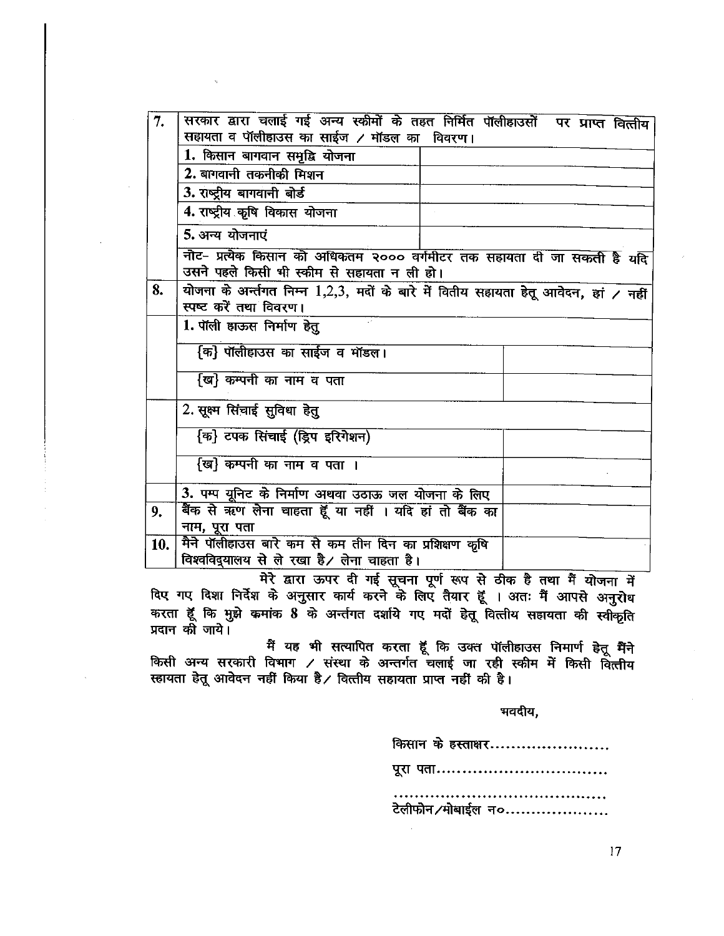| 7.  | सरकार द्वारा चलाई गई अन्य स्कीमों के तहत निर्मित पॉलीहाउसों पर प्राप्त वित्तीय<br>सहायता व पॉलीहाउस का साईज / मॉडल का विवरण। |
|-----|------------------------------------------------------------------------------------------------------------------------------|
|     | 1. किसान बागवान समृद्धि योजना                                                                                                |
|     | 2. बागवानी तकनीकी मिशन                                                                                                       |
|     | 3. राष्ट्रीय बागवानी बोर्ड                                                                                                   |
|     | 4. राष्ट्रीय कृषि विकास योजना                                                                                                |
|     | 5. अन्य योजनाएं                                                                                                              |
|     | नोट- प्रत्येक किसान को अधिकतम २००० वर्गमीटर तक सहायता दी जा सकती है यदि<br>उसने पहले किसी भी स्कीम से सहायता न ली हो।        |
| 8.  | योजना के अर्न्तगत निम्न 1,2,3, मदों के बारे में वितीय सहायता हेतू आवेदन, हां / नहीं<br>स्पष्ट करें तथा विवरण।                |
|     | 1. पॉली हाऊस निर्माण हेतु                                                                                                    |
|     | कि} पॉलीहाउस का साईज व मॉडल।                                                                                                 |
|     | {ख} कम्पनी का नाम व पता                                                                                                      |
|     | 2. सूक्ष्म सिंचाई सुविधा हेतु                                                                                                |
|     | {क} टपक सिंचाई (ड्रिप इरिगेशन)                                                                                               |
|     | {ख} कम्पनी का नाम व पता ।                                                                                                    |
|     | 3. पम्प यूनिट के निर्माण अथवा उठाऊ जल योजना के लिए                                                                           |
| 9.  | बैंक से ऋण लेना चाहता हूँ या नहीं । यदि हां तो बैंक का                                                                       |
|     | नाम, पूरा पता                                                                                                                |
| 10. | मैने पॉलीहाउस बारे कम से कम तीन दिन का प्रशिक्षण कृषि<br>विश्वविद्यालय से ले रखा है/ लेना चाहता है।                          |
|     |                                                                                                                              |

मेरे द्वारा ऊपर दी गई सूचना पूर्ण रूप से ठीक है तथा मैं योजना में दिए गए दिशा निर्देश के अनुसार कार्य करने के लिए तैयार हूँ । अतः मैं आपसे अनुरोध करता हूँ कि मुझे कमांक 8 के अर्न्तगत दर्शाये गए मदों हेतू वित्तीय सहायता की स्वीकृति प्रदान की जाये।

मैं यह भी सत्यापित करता हूँ कि उक्त पॉलीहाउस निमार्ण हेतू मैंने किसी अन्य सरकारी विभाग / संस्था के अन्तर्गत चलाई जा रही स्कीम में किसी वित्तीय स्हायता हेतू आवेदन नहीं किया है / वित्तीय सहायता प्राप्त नहीं की है।

### भवदीय,

किसान के हस्ताक्षर....................... पूरा पता................................. टेलीफोन/मोबाईल न०...................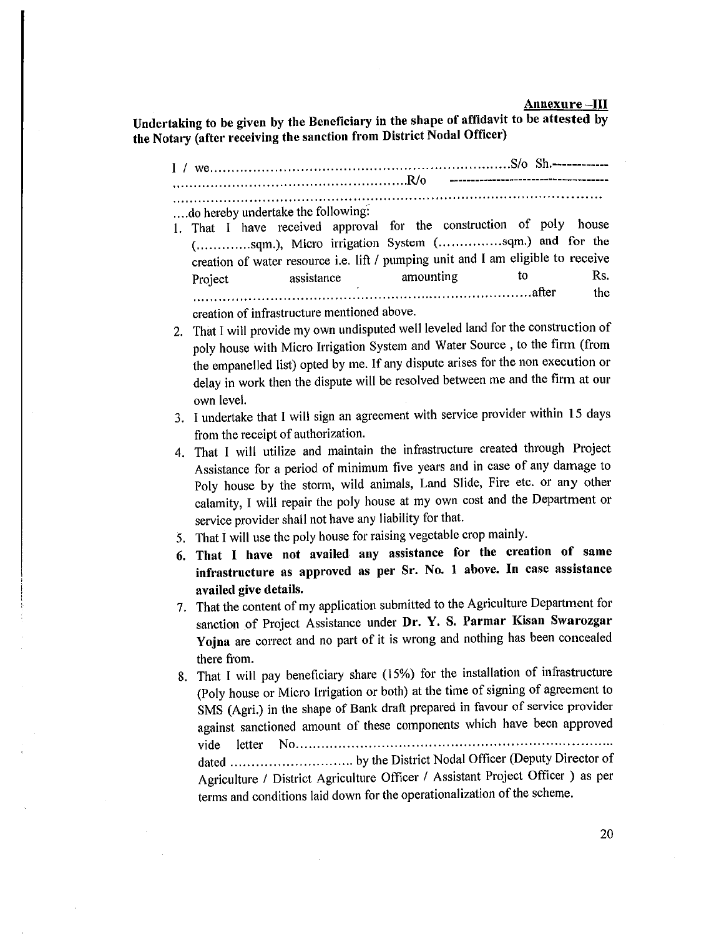#### Annexure-III

Undertaking to be given by the Beneficiary in the shape of affidavit to be attested by the Notary (after receiving the sanction from District Nodal Officer)

--------------------------------------...do hereby undertake the following: 1. That I have received approval for the construction of poly house (.............sqm.), Micro irrigation System (...............sqm.) and for the creation of water resource i.e. lift / pumping unit and I am eligible to receive amounting Rs. to assistance Project the creation of infrastructure mentioned above. 2. That I will provide my own undisputed well leveled land for the construction of poly house with Micro Irrigation System and Water Source, to the firm (from the empanelled list) opted by me. If any dispute arises for the non execution or delay in work then the dispute will be resolved between me and the firm at our own level. 3. I undertake that I will sign an agreement with service provider within 15 days from the receipt of authorization.

4. That I will utilize and maintain the infrastructure created through Project Assistance for a period of minimum five years and in case of any damage to Poly house by the storm, wild animals, Land Slide, Fire etc. or any other calamity, I will repair the poly house at my own cost and the Department or service provider shall not have any liability for that.

- 5. That I will use the poly house for raising vegetable crop mainly.
- 6. That I have not availed any assistance for the creation of same infrastructure as approved as per Sr. No. 1 above. In case assistance availed give details.

7. That the content of my application submitted to the Agriculture Department for sanction of Project Assistance under Dr. Y. S. Parmar Kisan Swarozgar Yojna are correct and no part of it is wrong and nothing has been concealed there from.

8. That I will pay beneficiary share (15%) for the installation of infrastructure (Poly house or Micro Irrigation or both) at the time of signing of agreement to SMS (Agri.) in the shape of Bank draft prepared in favour of service provider against sanctioned amount of these components which have been approved Agriculture / District Agriculture Officer / Assistant Project Officer ) as per terms and conditions laid down for the operationalization of the scheme.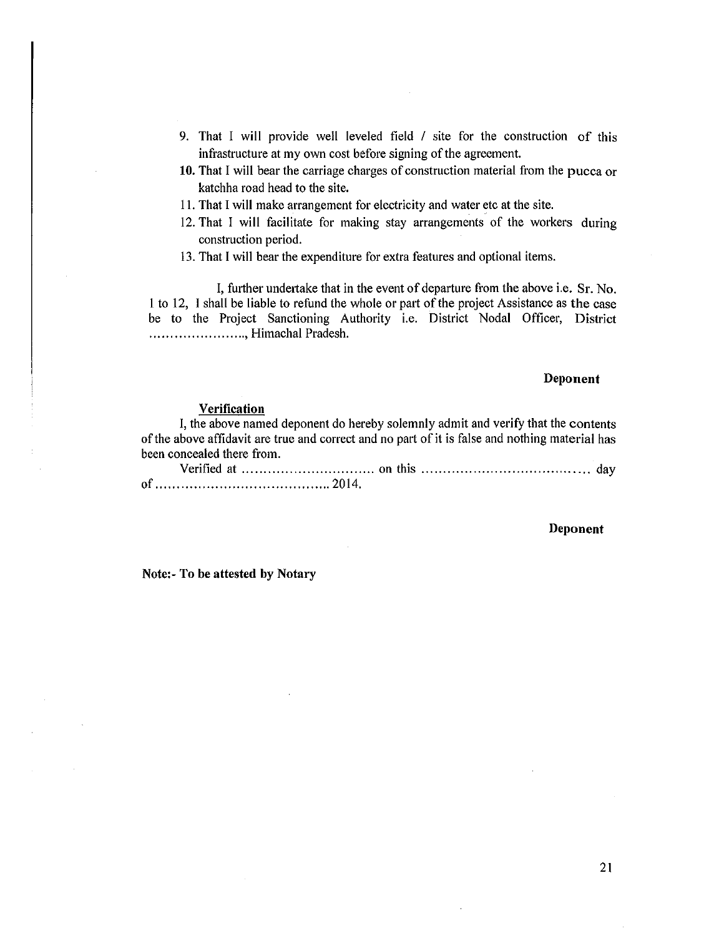- 9. That I will provide well leveled field / site for the construction of this infrastructure at my own cost before signing of the agreement.
- 10. That I will bear the carriage charges of construction material from the pucca or katchha road head to the site.
- 11. That I will make arrangement for electricity and water etc at the site.
- 12. That I will facilitate for making stay arrangements of the workers during construction period.
- 13. That I will bear the expenditure for extra features and optional items.

I, further undertake that in the event of departure from the above i.e. Sr. No. 1 to 12, I shall be liable to refund the whole or part of the project Assistance as the case be to the Project Sanctioning Authority i.e. District Nodal Officer, District ......................, Himachal Pradesh.

#### Deponent

### Verification

I, the above named deponent do hereby solemnly admit and verify that the contents of the above affidavit are true and correct and no part of it is false and nothing material has been concealed there from.

#### Deponent

Note:- To be attested by Notary

21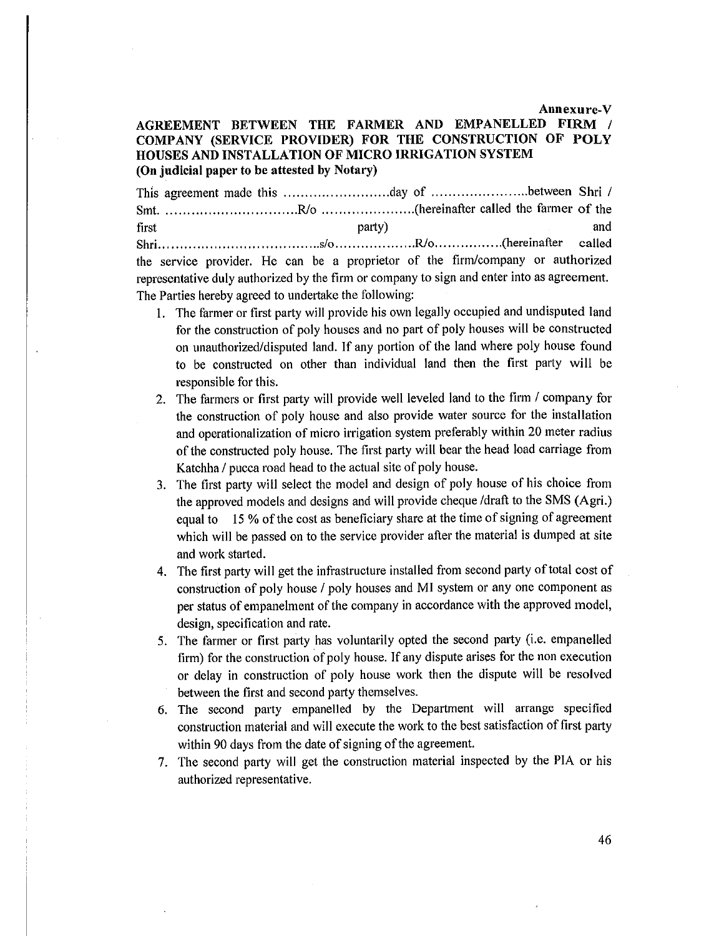Annexure-V

# AGREEMENT BETWEEN THE FARMER AND EMPANELLED FIRM / COMPANY (SERVICE PROVIDER) FOR THE CONSTRUCTION OF POLY HOUSES AND INSTALLATION OF MICRO IRRIGATION SYSTEM (On judicial paper to be attested by Notary)

first party) and called the service provider. He can be a proprietor of the firm/company or authorized representative duly authorized by the firm or company to sign and enter into as agreement. The Parties hereby agreed to undertake the following:

- 1. The farmer or first party will provide his own legally occupied and undisputed land for the construction of poly houses and no part of poly houses will be constructed on unauthorized/disputed land. If any portion of the land where poly house found to be constructed on other than individual land then the first party will be responsible for this.
- 2. The farmers or first party will provide well leveled land to the firm / company for the construction of poly house and also provide water source for the installation and operationalization of micro irrigation system preferably within 20 meter radius of the constructed poly house. The first party will bear the head load carriage from Katchha / pucca road head to the actual site of poly house.
- 3. The first party will select the model and design of poly house of his choice from the approved models and designs and will provide cheque /draft to the SMS (Agri.) equal to 15 % of the cost as beneficiary share at the time of signing of agreement which will be passed on to the service provider after the material is dumped at site and work started.
- 4. The first party will get the infrastructure installed from second party of total cost of construction of poly house / poly houses and MI system or any one component as per status of empanelment of the company in accordance with the approved model, design, specification and rate.
- 5. The farmer or first party has voluntarily opted the second party (i.e. empanelled firm) for the construction of poly house. If any dispute arises for the non execution or delay in construction of poly house work then the dispute will be resolved between the first and second party themselves.
- 6. The second party empanelled by the Department will arrange specified construction material and will execute the work to the best satisfaction of first party within 90 days from the date of signing of the agreement.
- 7. The second party will get the construction material inspected by the PIA or his authorized representative.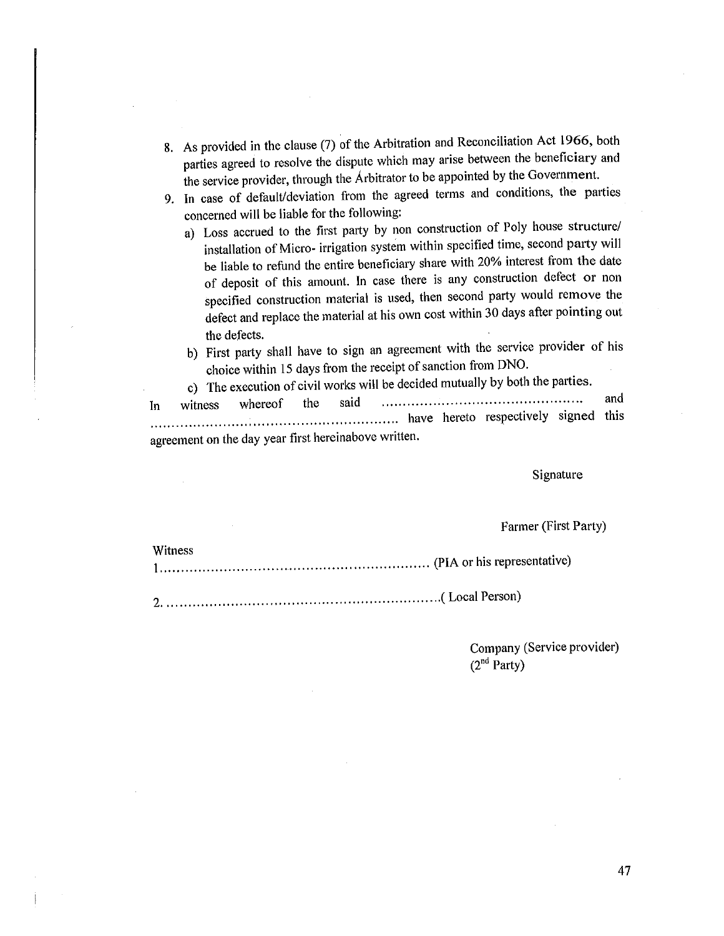- 8. As provided in the clause (7) of the Arbitration and Reconciliation Act 1966, both parties agreed to resolve the dispute which may arise between the beneficiary and the service provider, through the Arbitrator to be appointed by the Government.
- 9. In case of default/deviation from the agreed terms and conditions, the parties concerned will be liable for the following:
	- a) Loss accrued to the first party by non construction of Poly house structure/ installation of Micro- irrigation system within specified time, second party will be liable to refund the entire beneficiary share with 20% interest from the date of deposit of this amount. In case there is any construction defect or non specified construction material is used, then second party would remove the defect and replace the material at his own cost within 30 days after pointing out the defects.
	- b) First party shall have to sign an agreement with the service provider of his choice within 15 days from the receipt of sanction from DNO.

c) The execution of civil works will be decided mutually by both the parties.

and the said whereof witness In agreement on the day year first hereinabove written.

Signature

Farmer (First Party)

| Witness |  |
|---------|--|
|         |  |

aaskal.

Company (Service provider)  $(2<sup>nd</sup> Party)$